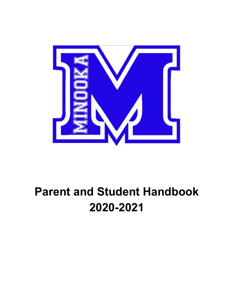

# **Parent and Student Handbook 2020-2021**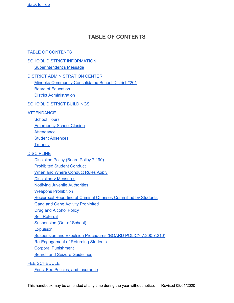# <span id="page-1-0"></span>**TABLE OF CONTENTS**

#### <span id="page-1-1"></span>TABLE OF [CONTENTS](#page-1-1)

# **SCHOOL DISTRICT [INFORMATION](#page-4-0)**

[Superintendent's](#page-4-1) Message

#### DISTRICT [ADMINISTRATION](#page-5-0) CENTER

Minooka Community [Consolidated](#page-5-1) School District #201 Board of [Education](#page-5-2)

District [Administration](#page-6-0)

#### SCHOOL DISTRICT [BUILDINGS](#page-7-0)

#### **[ATTENDANCE](#page-8-0)**

[School](#page-8-1) Hours [Emergency](#page-8-2) School Closing **[Attendance](#page-9-0)** Student [Absences](#page-9-1) **[Truancy](#page-11-0)** 

#### **[DISCIPLINE](#page-13-0)**

[Discipline](#page-13-1) Policy (Board Policy 7:190) [Prohibited](#page-13-2) Student Conduct When and Where [Conduct](#page-16-0) Rules Apply [Disciplinary](#page-16-1) Measures Notifying Juvenile [Authorities](#page-17-0) **Weapons [Prohibition](#page-17-1)** Reciprocal Reporting of Criminal Offenses [Committed](#page-18-0) by Students Gang and Gang Activity [Prohibited](#page-18-1) Drug and [Alcohol](#page-18-2) Policy Self [Referral](#page-19-0) Suspension [\(Out-of-School\)](#page-20-0) **[Expulsion](#page-20-1)** Suspension and Expulsion Procedures (BOARD POLICY [7:200,7:210\)](#page-20-2) [Re-Engagement](#page-21-0) of Returning Students Corporal [Punishment](#page-21-1)

**Search and Seizure [Guidelines](#page-22-0)** 

#### FEE [SCHEDULE](#page-24-0)

Fees, Fee Policies, and [Insurance](#page-24-1)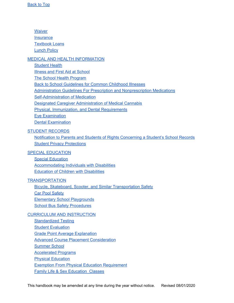**[Waiver](#page-24-2) [Insurance](#page-24-3)** [Textbook](#page-25-0) Loans [Lunch](#page-25-1) Policy

#### MEDICAL AND HEALTH [INFORMATION](#page-25-2)

[Student](#page-25-3) Health

Illness and First Aid at [School](#page-26-0)

The School Health [Program](#page-26-1)

Back to School [Guidelines](#page-27-0) for Common Childhood Illnesses

Administration Guidelines For Prescription and [Nonprescription](#page-27-1) Medications

[Self-Administration](#page-28-0) of Medication

Designated Caregiver Administration of Medical Cannabis

Physical, [Immunization,](#page-30-0) and Dental Requirements

Eye [Examination](#page-31-0)

Dental [Examination](#page-31-1)

#### STUDENT [RECORDS](#page-32-0)

Notification to Parents and Students of Rights [Concerning](#page-32-1) a Student's School Records Student Privacy [Protections](#page-35-0)

#### SPECIAL [EDUCATION](#page-36-0)

Special [Education](#page-36-1) [Accommodating](#page-37-0) Individuals with Disabilities Education of Children with [Disabilities](#page-37-1)

#### **[TRANSPORTATION](#page-38-0)**

Bicycle, Skateboard, Scooter, and Similar [Transportation](#page-38-1) Safety **Car Pool [Safety](#page-38-2)** Elementary School [Playgrounds](#page-38-3) School Bus Safety [Procedures](#page-39-0)

#### CURRICULUM AND [INSTRUCTION](#page-41-0)

[Standardized](#page-41-1) Testing **Student [Evaluation](#page-41-2) Grade Point Average [Explanation](#page-42-0) Advanced Course Placement [Consideration](#page-42-1)** [Summer](#page-43-0) School [Accelerated](#page-44-0) Programs **Physical [Education](#page-44-1) Exemption From Physical Education [Requirement](#page-44-2) Family Life & Sex [Education](#page-45-0) Classes**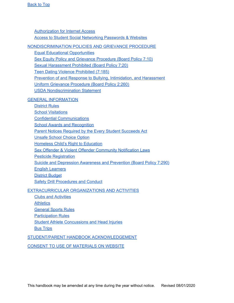[Authorization](#page-45-1) for Internet Access Access to Student Social [Networking](#page-47-0) Passwords & Websites

[NONDISCRIMINATION](#page-48-0) POLICIES AND GRIEVANCE PROCEDURE

Equal Educational [Opportunities](#page-48-1)

Sex Equity Policy and Grievance [Procedure](#page-49-0) (Board Policy 7:10)

Sexual [Harassment](#page-49-1) Prohibited (Board Policy 7:20)

Teen Dating Violence [Prohibited](#page-50-0) (7:185)

Prevention of and Response to Bullying, [Intimidation,](#page-51-0) and Harassment

Uniform Grievance [Procedure](#page-52-0) (Board Policy 2:260)

USDA [Nondiscrimination](#page-53-0) Statement

#### GENERAL [INFORMATION](#page-54-0)

[District](#page-54-1) Rules

School [Visitations](#page-56-0)

Confidential [Communications](#page-57-0)

School Awards and [Recognition](#page-57-1)

Parent Notices Required by the Every Student [Succeeds](#page-58-0) Act

[Unsafe](#page-59-0) School Choice Option

Homeless Child's Right to [Education](#page-60-0)

Sex Offender & Violent Offender [Community](#page-60-0) Notification Laws

Pesticide [Registration](#page-60-1)

Suicide and [Depression](#page-60-2) Awareness and Prevention (Board Policy 7:290)

English [Learners](#page-61-0)

District [Budget](#page-61-1)

Safety Drill [Procedures](#page-61-2) and Conduct

#### [EXTRACURRICULAR](#page-63-0) ORGANIZATIONS AND ACTIVITIES

Clubs and [Activities](#page-63-1)

**[Athletics](#page-64-0)** 

[General](#page-66-0) Sports Rules

[Participation](#page-67-0) Rules

Student Athlete [Concussions](#page-69-0) and Head Injuries

Bus [Trips](#page-69-1)

STUDENT/PARENT HANDBOOK [ACKNOWLEDGEMENT](#page-70-0)

CONSENT TO USE OF [MATERIALS](#page-71-0) ON WEBSITE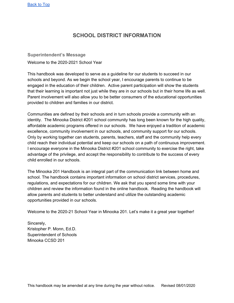# **SCHOOL DISTRICT INFORMATION**

<span id="page-4-1"></span><span id="page-4-0"></span>**Superintendent's Message** Welcome to the 2020-2021 School Year

This handbook was developed to serve as a guideline for our students to succeed in our schools and beyond. As we begin the school year, I encourage parents to continue to be engaged in the education of their children. Active parent participation will show the students that their learning is important not just while they are in our schools but in their home life as well. Parent involvement will also allow you to be better consumers of the educational opportunities provided to children and families in our district.

Communities are defined by their schools and in turn schools provide a community with an identity. The Minooka District #201 school community has long been known for the high quality, affordable academic programs offered in our schools. We have enjoyed a tradition of academic excellence, community involvement in our schools, and community support for our schools. Only by working together can students, parents, teachers, staff and the community help every child reach their individual potential and keep our schools on a path of continuous improvement. I encourage everyone in the Minooka District #201 school community to exercise the right, take advantage of the privilege, and accept the responsibility to contribute to the success of every child enrolled in our schools.

The Minooka 201 Handbook is an integral part of the communication link between home and school. The handbook contains important information on school district services, procedures, regulations, and expectations for our children. We ask that you spend some time with your children and review the information found in the online handbook. Reading the handbook will allow parents and students to better understand and utilize the outstanding academic opportunities provided in our schools.

Welcome to the 2020-21 School Year in Minooka 201. Let's make it a great year together!

Sincerely, Kristopher P. Monn, Ed.D. Superintendent of Schools Minooka CCSD 201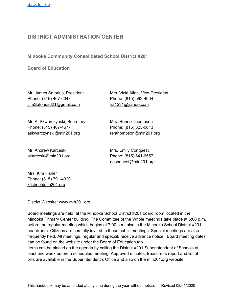# <span id="page-5-0"></span>**DISTRICT ADMINISTRATION CENTER**

<span id="page-5-1"></span>**Minooka Community Consolidated School District #201**

<span id="page-5-2"></span>**Board of Education**

Mr. James Satorius, President Mrs. Vicki Allen, Vice-President Phone: (815) 467-6043 Phone: (815) 592-4604 JimSatorius621@gmail.com va1231@yahoo.com

Mr. Al Skwarczynski, Secretary Mrs. Renee Thompson Phone: (815) 467-4677 Phone: (815) 325-0813 [askwarczynski@min201.org](mailto:askwarczynski@min201.org) renthompson@min201.org

Mr. Andrew Karceski Mrs. Emily Conquest [akarceski@min201.org](mailto:akarceski@min201.org) Phone: (815) 641-6557

[econquest@min201.org](mailto:econquest@min201.org)

Mrs. Kim Fisher Phone: (815) 791-4320 kfisher@min201.org

District Website: www.min201.org

Board meetings are held at the Minooka School District #201 board room located in the Minooka Primary Center building. The Committee of the Whole meetings take place at 6:00 p.m. before the regular meeting which begins at 7:00 p.m. also in the Minooka School District #201 boardroom. Citizens are cordially invited to these public meetings. Special meetings are also frequently held. All meetings, regular and special, receive advance notice. Board meeting dates can be found on the website under the Board of Education tab.

Items can be placed on the agenda by calling the District #201 Superintendent of Schools at least one week before a scheduled meeting. Approved minutes, treasurer's report and list of bills are available in the Superintendent's Office and also on the min201.org website.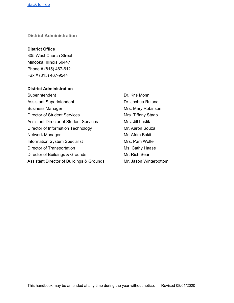#### <span id="page-6-0"></span>**District Administration**

#### **District Office**

305 West Church Street Minooka, Illinois 60447 Phone # (815) 467-6121 Fax # (815) 467-9544

#### **District Administration**

Superintendent Dr. Kris Monn Assistant Superintendent **Dr. Joshua Ruland** Business Manager **Mrs. Mary Robinson** Mrs. Mary Robinson Director of Student Services Mrs. Tiffany Staab Assistant Director of Student Services Mrs. Jill Lustik Director of Information Technology Mr. Aaron Souza Network Manager **Mr. Afrim Bakii** Information System Specialist Mrs. Pam Wolfe Director of Transportation Ms. Cathy Haase Director of Buildings & Grounds Mr. Rich Searl Assistant Director of Buildings & Grounds Mr. Jason Winterbottom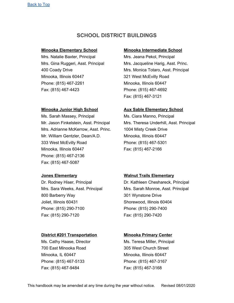# **SCHOOL DISTRICT BUILDINGS**

Mrs. Natalie Baxter, Principal Mrs. Jeana Pekol, Principal Minooka, Illinois 60447 321 West McEvilly Road Phone: (815) 467-2261 Minooka, Illinois 60447 Fax: (815) 467-4423 Phone: (815) 467-4692

Ms. Sarah Massey, Principal Ms. Ciara Manno, Principal Mrs. Adrianne McKerrow, Asst. Princ. 1004 Misty Creek Drive Mr. William Gentzler, Dean/A.D. Minooka, Illinois 60447 333 West McEvilly Road Phone: (815) 467-5301 Minooka, Illinois 60447 Fax: (815) 467-2166 Phone: (815) 467-2136 Fax: (815) 467-5087

800 Barberry Way 301 Wynstone Drive Joliet, Illinois 60431 Shorewood, Illinois 60404 Phone: (815) 290-7100 Phone: (815) 290-7400 Fax: (815) 290-7120 Fax: (815) 290-7420

#### **District #201 Transportation Minooka Primary Center**

700 East Minooka Road 305 West Church Street Minooka, IL 60447 Minooka, Illinois 60447 Phone: (815) 467-5133 Phone: (815) 467-3167 Fax: (815) 467-9484 Fax: (815) 467-3168

#### <span id="page-7-0"></span>**Minooka Elementary School Minooka Intermediate School**

Mrs. Gina Ruggeri, Asst. Principal Mrs. Jacqueline Harig, Asst. Princ. 400 Coady Drive Mrs. Monica Totaro, Asst. Principal Fax: (815) 467-3121

#### **Minooka Junior High School Aux Sable Elementary School**

Mr. Jason Finkelstein, Asst. Principal Mrs. Theresa Underhill, Asst. Principal

#### **Jones Elementary Walnut Trails Elementary**

Dr. Rodney Hiser, Principal Dr. Kathleen Cheshareck, Principal Mrs. Sara Weeks, Asst. Principal Mrs. Sarah Monroe, Asst. Principal

Ms. Cathy Haase, Director **Ms. Teresa Miller, Principal**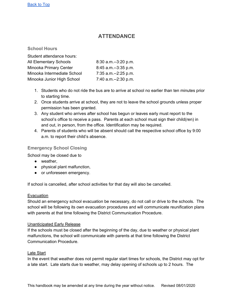# **ATTENDANCE**

#### <span id="page-8-1"></span><span id="page-8-0"></span>**School Hours**

| Student attendance hours:     |                        |
|-------------------------------|------------------------|
|                               |                        |
| <b>All Elementary Schools</b> | $8:30$ a.m.--3:20 p.m. |
| Minooka Primary Center        | $8:45$ a.m.--3:35 p.m. |
| Minooka Intermediate School   | 7:35 a.m.--2:25 p.m.   |
| Minooka Junior High School    | 7:40 a.m.--2:30 p.m.   |

- 1. Students who do not ride the bus are to arrive at school no earlier than ten minutes prior to starting time.
- 2. Once students arrive at school, they are not to leave the school grounds unless proper permission has been granted.
- 3. Any student who arrives after school has begun or leaves early must report to the school's office to receive a pass. Parents at each school must sign their child(ren) in and out, in person, from the office. Identification may be required.
- 4. Parents of students who will be absent should call the respective school office by 9:00 a.m. to report their child's absence.

#### <span id="page-8-2"></span>**Emergency School Closing**

School may be closed due to

- weather,
- physical plant malfunction,
- or unforeseen emergency.

If school is cancelled, after school activities for that day will also be cancelled.

#### Evacuation

Should an emergency school evacuation be necessary, do not call or drive to the schools. The school will be following its own evacuation procedures and will communicate reunification plans with parents at that time following the District Communication Procedure.

#### Unanticipated Early Release

If the schools must be closed after the beginning of the day, due to weather or physical plant malfunctions, the school will communicate with parents at that time following the District Communication Procedure.

#### Late Start

In the event that weather does not permit regular start times for schools, the District may opt for a late start. Late starts due to weather, may delay opening of schools up to 2 hours. The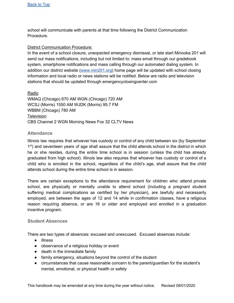school will communicate with parents at that time following the District Communication Procedure.

#### District Communication Procedure:

In the event of a school closure, unexpected emergency dismissal, or late start Minooka 201 will send out mass notifications, including but not limited to: mass email through our gradebook system, smartphone notifications and mass calling through our automated dialing system. In addition our district website ([www.min201.org](http://www.min201.org/)) home page will be updated with school closing information and local radio or news stations will be notified. Below are radio and television stations that should be updated through emergencyclosingcenter.com

Radio WMAQ (Chicago) 670 AM WGN (Chicago) 720 AM WCSJ (Morris) 1550 AM WJDK (Morris) 95.7 FM WBBM (Chicago) 780 AM **Television** CBS Channel 2 WGN Morning News Fox 32 CLTV News

#### <span id="page-9-0"></span>**Attendance**

Illinois law requires that whoever has custody or control of any child between six (by September 1<sup>st</sup>) and seventeen years of age shall assure that the child attends school in the district in which he or she resides, during the entire time school is in session (unless the child has already graduated from high school). Illinois law also requires that whoever has custody or control of a child who is enrolled in the school, regardless of the child's age, shall assure that the child attends school during the entire time school is in session.

There are certain exceptions to the attendance requirement for children who: attend private school, are physically or mentally unable to attend school (including a pregnant student suffering medical complications as certified by her physician), are lawfully and necessarily employed, are between the ages of 12 and 14 while in confirmation classes, have a religious reason requiring absence, or are 16 or older and employed and enrolled in a graduation incentive program.

#### <span id="page-9-1"></span>**Student Absences**

There are two types of absences: excused and unexcused. Excused absences include:

- illness
- observance of a religious holiday or event
- death in the immediate family
- family emergency, situations beyond the control of the student
- circumstances that cause reasonable concern to the parent/guardian for the student's mental, emotional, or physical health or safety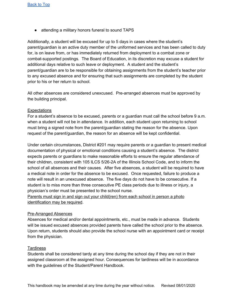● attending a military honors funeral to sound TAPS

Additionally, a student will be excused for up to 5 days in cases where the student's parent/guardian is an active duty member of the uniformed services and has been called to duty for, is on leave from, or has immediately returned from deployment to a combat zone or combat-supported postings. The Board of Education, in its discretion may excuse a student for additional days relative to such leave or deployment. A student and the student's parent/guardian are to be responsible for obtaining assignments from the student's teacher prior to any excused absence and for ensuring that such assignments are completed by the student prior to his or her return to school.

All other absences are considered unexcused. Pre-arranged absences must be approved by the building principal.

#### **Expectations**

For a student's absence to be excused, parents or a guardian must call the school before 9 a.m. when a student will not be in attendance. In addition, each student upon returning to school must bring a signed note from the parent/guardian stating the reason for the absence. Upon request of the parent/guardian, the reason for an absence will be kept confidential.

Under certain circumstances, District #201 may require parents or a guardian to present medical documentation of physical or emotional conditions causing a student's absence. The district expects parents or guardians to make reasonable efforts to ensure the regular attendance of their children, consistent with 105 ILCS 5/26-2A of the Illinois School Code, and to inform the school of all absences and their causes. After five absences, a student will be required to have a medical note in order for the absence to be excused. Once requested, failure to produce a note will result in an unexcused absence. The five days do not have to be consecutive. If a student is to miss more than three consecutive PE class periods due to illness or injury, a physician's order must be presented to the school nurse.

Parents must sign in and sign out your child(ren) from each school in person a photo identification may be required.

#### Pre-Arranged Absences

Absences for medical and/or dental appointments, etc., must be made in advance. Students will be issued excused absences provided parents have called the school prior to the absence. Upon return, students should also provide the school nurse with an appointment card or receipt from the physician.

#### **Tardiness**

Students shall be considered tardy at any time during the school day if they are not in their assigned classroom at the assigned hour. Consequences for tardiness will be in accordance with the guidelines of the Student/Parent Handbook.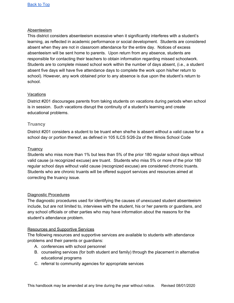#### Absenteeism

This district considers absenteeism excessive when it significantly interferes with a student's learning, as reflected in academic performance or social development. Students are considered absent when they are not in classroom attendance for the entire day. Notices of excess absenteeism will be sent home to parents. Upon return from any absence, students are responsible for contacting their teachers to obtain information regarding missed schoolwork. Students are to complete missed school work within the number of days absent, (i.e., a student absent five days will have five attendance days to complete the work upon his/her return to school). However, any work obtained prior to any absence is due upon the student's return to school.

#### Vacations

District #201 discourages parents from taking students on vacations during periods when school is in session. Such vacations disrupt the continuity of a student's learning and create educational problems.

#### <span id="page-11-0"></span>**Truancy**

District #201 considers a student to be truant when she/he is absent without a valid cause for a school day or portion thereof, as defined in 105 ILCS 5/26-2a of the Illinois School Code

#### **Truancy**

Students who miss more than 1% but less than 5% of the prior 180 regular school days without valid cause (a recognized excuse) are truant. Students who miss 5% or more of the prior 180 regular school days without valid cause (recognized excuse) are considered chronic truants. Students who are chronic truants will be offered support services and resources aimed at correcting the truancy issue.

#### Diagnostic Procedures

The diagnostic procedures used for identifying the causes of unexcused student absenteeism include, but are not limited to, interviews with the student, his or her parents or guardians, and any school officials or other parties who may have information about the reasons for the student's attendance problem.

#### Resources and Supportive Services

The following resources and supportive services are available to students with attendance problems and their parents or guardians:

- A. conferences with school personnel
- B. counseling services (for both student and family) through the placement in alternative educational programs
- C. referral to community agencies for appropriate services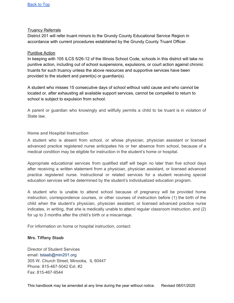#### Truancy Referrals

District 201 will refer truant minors to the Grundy County Educational Service Region in accordance with current procedures established by the Grundy County Truant Officer.

#### Punitive Action

In keeping with 105 ILCS 5/26-12 of the Illinois School Code, schools in this district will take no punitive action, including out of school suspensions, expulsions, or court action against chronic truants for such truancy unless the above resources and supportive services have been provided to the student and parent(s) or guardian(s).

A student who misses 15 consecutive days of school without valid cause and who cannot be located or, after exhausting all available support services, cannot be compelled to return to school is subject to expulsion from school.

A parent or guardian who knowingly and willfully permits a child to be truant is in violation of State law.

#### **Home and Hospital Instruction**

A student who is absent from school, or whose physician, physician assistant or licensed advanced practice registered nurse anticipates his or her absence from school, because of a medical condition may be eligible for instruction in the student's home or hospital.

Appropriate educational services from qualified staff will begin no later than five school days after receiving a written statement from a physician, physician assistant, or licensed advanced practice registered nurse. Instructional or related services for a student receiving special education services will be determined by the student's individualized education program.

A student who is unable to attend school because of pregnancy will be provided home instruction, correspondence courses, or other courses of instruction before (1) the birth of the child when the student's physician, physician assistant, or licensed advanced practice nurse indicates, in writing, that she is medically unable to attend regular classroom instruction, and (2) for up to 3 months after the child's birth or a miscarriage.

For information on home or hospital instruction, contact:

#### **Mrs. Tiffany Staab**

Director of Student Services email: tstaab@min201.org 305 W. Church Street, Minooka, IL 60447 Phone: 815-467-5042 Ext. #2 Fax: 815-467-9544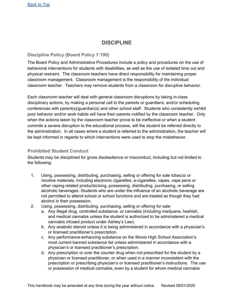# **DISCIPLINE**

#### <span id="page-13-1"></span><span id="page-13-0"></span>**Discipline Policy (Board Policy 7:190)**

The Board Policy and Administrative Procedures include a policy and procedures on the use of behavioral interventions for students with disabilities, as well as the use of isolated time out and physical restraint. The classroom teachers have direct responsibility for maintaining proper classroom management. Classroom management is the responsibility of the individual classroom teacher. Teachers may remove students from a classroom for disruptive behavior.

Each classroom teacher will deal with general classroom disruptions by taking in-class disciplinary actions, by making a personal call to the parents or guardians, and/or scheduling conferences with parent(s)/guardian(s) and other school staff. Students who consistently exhibit poor behavior and/or work habits will have their parents notified by the classroom teacher. Only when the actions taken by the classroom teacher prove to be ineffective or when a student commits a severe disruption to the educational process, will the student be referred directly to the administration. In all cases where a student is referred to the administration, the teacher will be kept informed in regards to which interventions were used to stop the misbehavior.

#### <span id="page-13-2"></span>**Prohibited Student Conduct**

Students may be disciplined for gross disobedience or misconduct, including but not limited to the following:

- 1. Using, possessing, distributing, purchasing, selling or offering for sale tobacco or nicotine materials, including electronic cigarettes, e-cigarettes, vapes, vape pens or other vaping related productsUsing, possessing, distributing, purchasing, or selling alcoholic beverages. Students who are under the influence of an alcoholic beverage are not permitted to attend school or school functions and are treated as though they had alcohol in their possession.
- 2. Using, possessing, distributing, purchasing, selling or offering for sale:
	- a. Any illegal drug, controlled substance, or cannabis (including marijuana, hashish, and medical cannabis unless the student is authorized to be administered a medical cannabis infused product under Ashley's Law).
	- b. Any anabolic steroid unless it is being administered in accordance with a physician's or licensed practitioner's prescription.
	- c. Any performance-enhancing substance on the Illinois High School Association's most current banned substance list unless administered in accordance with a physician's or licensed practitioner's prescription.
	- d. Any prescription or over the counter drug when not prescribed for the student by a physician or licensed practitioner, or when used in a manner inconsistent with the prescription or prescribing physician's or licensed practitioner's instructions. The use or possession of medical cannabis, even by a student for whom medical cannabis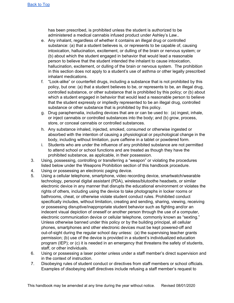has been prescribed, is prohibited unless the student is authorized to be administered a medical cannabis infused product under Ashley's Law..

- e. Any inhalant, regardless of whether it contains an illegal drug or controlled substance: (a) that a student believes is, or represents to be capable of, causing intoxication, hallucination, excitement, or dulling of the brain or nervous system; or (b) about which the student engaged in behavior that would lead a reasonable person to believe that the student intended the inhalant to cause intoxication, hallucination, excitement, or dulling of the brain or nervous system. The prohibition in this section does not apply to a student's use of asthma or other legally prescribed inhalant medications.
- f. "Look-alike" or counterfeit drugs, including a substance that is not prohibited by this policy, but one: (a) that a student believes to be, or represents to be, an illegal drug, controlled substance, or other substance that is prohibited by this policy; or (b) about which a student engaged in behavior that would lead a reasonable person to believe that the student expressly or impliedly represented to be an illegal drug, controlled substance or other substance that is prohibited by this policy.
- g. Drug paraphernalia, including devices that are or can be used to: (a) ingest, inhale, or inject cannabis or controlled substances into the body; and (b) grow, process, store, or conceal cannabis or controlled substances.
- h. Any substance inhaled, injected, smoked, consumed or otherwise ingested or absorbed with the intention of causing a physiological or psychological change in the body, including without limitation, pure caffeine in a tablet or powdered form.
- i. Students who are under the influence of any prohibited substance are not permitted to attend school or school functions and are treated as though they have the prohibited substance, as applicable, in their possession.
- 3. Using, possessing, controlling or transferring a "weapon" or violating the procedures listed below under the Weapons Prohibition section of this handbook procedure.
- 4. Using or possessing an electronic paging device.
- 5. Using a cellular telephone, smartphone, video recording device, smartwatch/wearable technology, personal digital assistant (PDA), wireless/blutoothe headsets, or similar electronic device in any manner that disrupts the educational environment or violates the rights of others, including using the device to take photographs in locker rooms or bathrooms, cheat, or otherwise violate student conduct rules. Prohibited conduct specifically includes, without limitation, creating and sending, sharing, viewing, receiving or possessing disruptive/inappropriate student behavior such as fighting and/or an indecent visual depiction of oneself or another person through the use of a computer, electronic communication device or cellular telephone, commonly known as "sexting." Unless otherwise banned under this policy or by the building principal, all cellular phones, smartphones and other electronic devices must be kept powered-off and out-of-sight during the regular school day unless: (a) the supervising teacher grants permission; (b) use of the device is provided in a student's individualized education program (IEP); or (c) it is needed in an emergency that threatens the safety of students, staff, or other individuals.
- 6. Using or possessing a laser pointer unless under a staff member's direct supervision and in the context of instruction.
- 7. Disobeying rules of student conduct or directives from staff members or school officials. Examples of disobeying staff directives include refusing a staff member's request to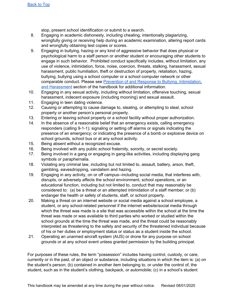stop, present school identification or submit to a search.

- 8. Engaging in academic dishonesty, including cheating, intentionally plagiarizing, wrongfully giving or receiving help during an academic examination, altering report cards and wrongfully obtaining test copies or scores.
- 9. Engaging in bullying, hazing or any kind of aggressive behavior that does physical or psychological harm to a staff person or another student or encouraging other students to engage in such behavior. Prohibited conduct specifically includes, without limitation, any use of violence, intimidation, force, noise, coercion, threats, stalking, harassment, sexual harassment, public humiliation, theft or destruction of property, retaliation, hazing, bullying, bullying using a school computer or a school computer network or other comparable conduct. Please see Prevention of and Response to Bullying, [Intimidation,](#page-51-0) and [Harassment](#page-51-0) section of the handbook for additional information.
- 10. Engaging in any sexual activity, including without limitation, offensive touching, sexual harassment, indecent exposure (including mooning) and sexual assault.
- 11. Engaging in teen dating violence.
- 12. Causing or attempting to cause damage to, stealing, or attempting to steal, school property or another person's personal property.
- 13. Entering or leaving school property or a school facility without proper authorization.
- 14. In the absence of a reasonable belief that an emergency exists, calling emergency responders (calling 9-1-1); signaling or setting off alarms or signals indicating the presence of an emergency; or indicating the presence of a bomb or explosive device on school grounds, school bus or at any school activity.
- 15. Being absent without a recognized excuse.
- 16. Being involved with any public school fraternity, sorority, or secret society.
- 17. Being involved in a gang or engaging in gang-like activities, including displaying gang symbols or paraphernalia.
- 18. Violating any criminal law, including but not limited to, assault, battery, arson, theft, gambling, eavesdropping, vandalism and hazing.
- 19. Engaging in any activity, on or off campus--including social media, that interferes with, disrupts, or adversely affects the school environment, school operations, or an educational function, including but not limited to, conduct that may reasonably be considered to: (a) be a threat or an attempted intimidation of a staff member; or (b) endanger the health or safety of students, staff, or school property.
- 20. Making a threat on an internet website or social media against a school employee, a student, or any school-related personnel if the internet website/social media through which the threat was made is a site that was accessible within the school at the time the threat was made or was available to third parties who worked or studied within the school grounds at the time the threat was made, and the threat could be reasonably interpreted as threatening to the safety and security of the threatened individual because of his or her duties or employment status or status as a student inside the school.
- 21. Operating an unarmed aircraft system (AUS) or drone for any purpose on school grounds or at any school event unless granted permission by the building principal.

For purposes of these rules, the term "possession" includes having control, custody, or care, currently or in the past, of an object or substance, including situations in which the item is: (a) on the student's person; (b) contained in another item belonging to, or under the control of, the student, such as in the student's clothing, backpack, or automobile; (c) in a school's student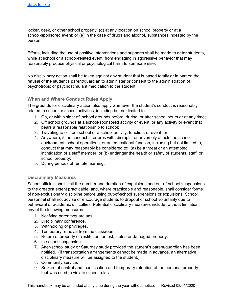locker, desk, or other school property; (d) at any location on school property or at a school-sponsored event; or (e) in the case of drugs and alcohol, substances ingested by the person.

Efforts, including the use of positive interventions and supports shall be made to deter students, while at school or a school-related event, from engaging in aggressive behavior that may reasonably produce physical or psychological harm to someone else.

No disciplinary action shall be taken against any student that is based totally or in part on the refusal of the student's parent/guardian to administer or consent to the administration of psychotropic or psychostimulant medication to the student.

### <span id="page-16-0"></span>**When and Where Conduct Rules Apply**

The grounds for disciplinary action also apply whenever the student's conduct is reasonably related to school or school activities, including but not limited to:

- 1. On, or within sight of, school grounds before, during, or after school hours or at any time;
- 2. Off school grounds at a school-sponsored activity or event, or any activity or event that bears a reasonable relationship to school;
- 3. Traveling to or from school or a school activity, function, or event; or
- 4. Anywhere, if the conduct interferes with, disrupts, or adversely affects the school environment, school operations, or an educational function, including but not limited to, conduct that may reasonably be considered to: (a) be a threat or an attempted intimidation of a staff member; or (b) endanger the health or safety of students, staff, or school property;
- 5. During periods of remote learning.

#### <span id="page-16-1"></span>**Disciplinary Measures**

School officials shall limit the number and duration of expulsions and out-of-school suspensions to the greatest extent practicable, and, where practicable and reasonable, shall consider forms of non-exclusionary discipline before using out-of-school suspensions or expulsions. School personnel shall not advise or encourage students to dropout of school voluntarily due to behavioral or academic difficulties. Potential disciplinary measures include, without limitation, any of the following measures:

- 1. Notifying parents/guardians.
- 2. Disciplinary conference.
- 3. Withholding of privileges.
- 4. Temporary removal from the classroom.
- 5. Return of property or restitution for lost, stolen or damaged property.
- 6. In-school suspension.
- 7. After-school study or Saturday study provided the student's parent/guardian has been notified. (If transportation arrangements cannot be made in advance, an alternative disciplinary measure will be assigned to the student.)
- 8. Community service.
- 9. Seizure of contraband; confiscation and temporary retention of the personal property that was used to violate school rules.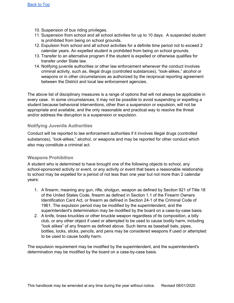- 10. Suspension of bus riding privileges.
- 11. Suspension from school and all school activities for up to 10 days. A suspended student is prohibited from being on school grounds.
- 12. Expulsion from school and all school activities for a definite time period not to exceed 2 calendar years. An expelled student is prohibited from being on school grounds.
- 13. Transfer to an alternative program if the student is expelled or otherwise qualifies for transfer under State law.
- 14. Notifying juvenile authorities or other law enforcement whenever the conduct involves criminal activity, such as, illegal drugs (controlled substances), "look-alikes," alcohol or weapons or in other circumstances as authorized by the reciprocal reporting agreement between the District and local law enforcement agencies.

The above list of disciplinary measures is a range of options that will not always be applicable in every case. In some circumstances, it may not be possible to avoid suspending or expelling a student because behavioral interventions, other than a suspension or expulsion, will not be appropriate and available, and the only reasonable and practical way to resolve the threat and/or address the disruption is a suspension or expulsion.

#### <span id="page-17-0"></span>**Notifying Juvenile Authorities**

Conduct will be reported to law enforcement authorities if it involves illegal drugs (controlled substances), "look-alikes," alcohol, or weapons and may be reported for other conduct which also may constitute a criminal act.

#### <span id="page-17-1"></span>**Weapons Prohibition**

A student who is determined to have brought one of the following objects to school, any school-sponsored activity or event, or any activity or event that bears a reasonable relationship to school may be expelled for a period of not less than one year but not more than 2 calendar years:

- 1. A firearm, meaning any gun, rifle, shotgun, weapon as defined by Section 921 of Title 18 of the United States Code, firearm as defined in Section 1.1 of the Firearm Owners Identification Card Act, or firearm as defined in Section 24-1 of the Criminal Code of 1961. The expulsion period may be modified by the superintendent, and the superintendent's determination may be modified by the board on a case-by-case basis.
- 2. A knife, brass knuckles or other knuckle weapon regardless of its composition, a billy club, or any other object if used or attempted to be used to cause bodily harm, including "look alikes" of any firearm as defined above. Such items as baseball bats, pipes, bottles, locks, sticks, pencils, and pens may be considered weapons if used or attempted to be used to cause bodily harm.

The expulsion requirement may be modified by the superintendent, and the superintendent's determination may be modified by the board on a case-by-case basis.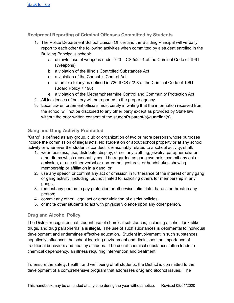<span id="page-18-0"></span>**Reciprocal Reporting of Criminal Offenses Committed by Students**

- 1. The Police Department School Liaison Officer and the Building Principal will verbally report to each other the following activities when committed by a student enrolled in the Building Principal's school:
	- a. unlawful use of weapons under 720 ILCS 5/24-1 of the Criminal Code of 1961 (Weapons)
	- b. a violation of the Illinois Controlled Substances Act
	- c. a violation of the Cannabis Control Act
	- d. a forcible felony as defined in 720 ILCS 5/2-8 of the Criminal Code of 1961 (Board Policy 7:190)
	- e. a violation of the Methamphetamine Control and Community Protection Act
- 2. All incidences of battery will be reported to the proper agency.
- 3. Local law enforcement officials must certify in writing that the information received from the school will not be disclosed to any other party except as provided by State law without the prior written consent of the student's parent(s)/guardian(s).

### <span id="page-18-1"></span>**Gang and Gang Activity Prohibited**

"Gang" is defined as any group, club or organization of two or more persons whose purposes include the commission of illegal acts. No student on or about school property or at any school activity or whenever the student's conduct is reasonably related to a school activity, shall:

- 1. wear, possess, use, distribute, display, or sell any clothing, jewelry, paraphernalia or other items which reasonably could be regarded as gang symbols; commit any act or omission, or use either verbal or non-verbal gestures, or handshakes showing membership or affiliation in a gang; or
- 2. use any speech or commit any act or omission in furtherance of the interest of any gang or gang activity, including, but not limited to, soliciting others for membership in any gangs;
- 3. request any person to pay protection or otherwise intimidate, harass or threaten any person;
- 4. commit any other illegal act or other violation of district policies,
- 5. or incite other students to act with physical violence upon any other person.

### <span id="page-18-2"></span>**Drug and Alcohol Policy**

The District recognizes that student use of chemical substances, including alcohol, look-alike drugs, and drug paraphernalia is illegal. The use of such substances is detrimental to individual development and undermines effective education. Student involvement in such substances negatively influences the school learning environment and diminishes the importance of traditional behaviors and healthy attitudes. The use of chemical substances often leads to chemical dependency, an illness requiring intervention and treatment.

To ensure the safety, health, and well being of all students, the District is committed to the development of a comprehensive program that addresses drug and alcohol issues. The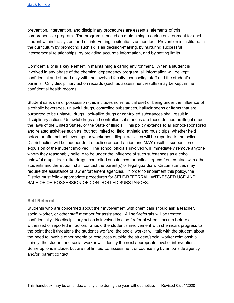prevention, intervention, and disciplinary procedures are essential elements of this comprehensive program. The program is based on maintaining a caring environment for each student within the system and on intervening in situations as needed. Prevention is instituted in the curriculum by promoting such skills as decision-making, by nurturing successful interpersonal relationships, by providing accurate information, and by setting limits.

Confidentiality is a key element in maintaining a caring environment. When a student is involved in any phase of the chemical dependency program, all information will be kept confidential and shared only with the involved faculty, counseling staff and the student's parents. Only disciplinary action records (such as assessment results) may be kept in the confidential health records.

Student sale, use or possession (this includes non-medical use) or being under the influence of alcoholic beverages, unlawful drugs, controlled substances, hallucinogens or items that are purported to be unlawful drugs, look-alike drugs or controlled substances shall result in disciplinary action. Unlawful drugs and controlled substances are those defined as illegal under the laws of the United States, or the State of Illinois. This policy extends to all school-sponsored and related activities such as, but not limited to: field, athletic and music trips, whether held before or after school, evenings or weekends. Illegal activities will be reported to the police. District action will be independent of police or court action and MAY result in suspension or expulsion of the student involved. The school officials involved will immediately remove anyone whom they reasonably believe to be under the influence of such substances as alcohol, unlawful drugs, look-alike drugs, controlled substances, or hallucinogens from contact with other students and thereupon, shall contact the parent(s) or legal guardian. Circumstances may require the assistance of law enforcement agencies. In order to implement this policy, the District must follow appropriate procedures for SELF-REFERRAL, WITNESSED USE AND SALE OF OR POSSESSION OF CONTROLLED SUBSTANCES.

#### <span id="page-19-0"></span>**Self Referral**

Students who are concerned about their involvement with chemicals should ask a teacher, social worker, or other staff member for assistance. All self-referrals will be treated confidentially. No disciplinary action is involved in a self-referral when it occurs before a witnessed or reported infraction. Should the student's involvement with chemicals progress to the point that it threatens the student's welfare, the social worker will talk with the student about the need to involve other people or resources outside the student/social worker relationship. Jointly, the student and social worker will identify the next appropriate level of intervention. Some options include, but are not limited to: assessment or counseling by an outside agency and/or, parent contact.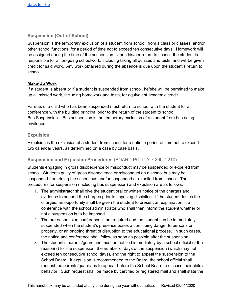### <span id="page-20-0"></span>**Suspension (Out-of-School)**

Suspension is the temporary exclusion of a student from school, from a class or classes, and/or other school functions, for a period of time not to exceed ten consecutive days. Homework will be assigned during the time of the suspension. Upon his/her return to school, the student is responsible for all on-going schoolwork, including taking all quizzes and tests, and will be given credit for said work. Any work obtained during the absence is due upon the student's return to school.

#### **Make-Up Work**

If a student is absent or if a student is suspended from school, he/she will be permitted to make up all missed work, including homework and tests, for equivalent academic credit.

Parents of a child who has been suspended must return to school with the student for a conference with the building principal prior to the return of the student to school. Bus Suspension – Bus suspension is the temporary exclusion of a student from bus riding privileges.

#### <span id="page-20-1"></span>**Expulsion**

Expulsion is the exclusion of a student from school for a definite period of time not to exceed two calendar years, as determined on a case by case basis.

### <span id="page-20-2"></span>**Suspension and Expulsion Procedures** (BOARD POLICY 7:200,7:210)

Students engaging in gross disobedience or misconduct may be suspended or expelled from school. Students guilty of gross disobedience or misconduct on a school bus may be suspended from riding the school bus and/or suspended or expelled from school. The procedures for suspension (including bus suspension) and expulsion are as follows:

- 1. The administrator shall give the student oral or written notice of the charges and evidence to support the charges prior to imposing discipline. If the student denies the charges, an opportunity shall be given the student to present an explanation in a conference with the school administrator who shall then inform the student whether or not a suspension is to be imposed.
- 2. The pre-suspension conference is not required and the student can be immediately suspended when the student's presence poses a continuing danger to persons or property, or an ongoing threat of disruption to the educational process. In such cases, the notice and conference shall follow as soon as possible after the suspension.
- 3. The student's parents/guardians must be notified immediately by a school official of the reason(s) for the suspension, the number of days of the suspension (which may not exceed ten consecutive school days), and the right to appeal the suspension to the School Board. If expulsion is recommended to the Board, the school official shall request the parents/guardians to appear before the School Board to discuss their child's behavior. Such request shall be made by certified or registered mail and shall state the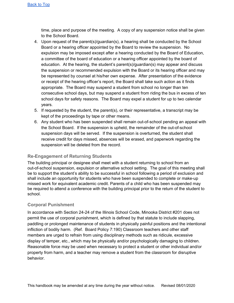time, place and purpose of the meeting. A copy of any suspension notice shall be given to the School Board.

- 4. Upon request of the parent(s)/guardian(s), a hearing shall be conducted by the School Board or a hearing officer appointed by the Board to review the suspension. No expulsion may be imposed except after a hearing conducted by the Board of Education, a committee of the board of education or a hearing officer appointed by the board of education. At the hearing, the student's parent(s)/guardian(s) may appear and discuss the suspension or recommended expulsion with the Board or its hearing officer and may be represented by counsel at his/her own expense. After presentation of the evidence or receipt of the hearing officer's report, the Board shall take such action as it finds appropriate. The Board may suspend a student from school no longer than ten consecutive school days, but may suspend a student from riding the bus in excess of ten school days for safety reasons. The Board may expel a student for up to two calendar years.
- 5. If requested by the student, the parent(s), or their representative, a transcript may be kept of the proceedings by tape or other means.
- 6. Any student who has been suspended shall remain out-of-school pending an appeal with the School Board. If the suspension is upheld, the remainder of the out-of-school suspension days will be served. If the suspension is overturned, the student shall receive credit for days missed, absences will be erased, and paperwork regarding the suspension will be deleted from the record.

### <span id="page-21-0"></span>**Re-Engagement of Returning Students**

The building principal or designee shall meet with a student returning to school from an out-of-school suspension, expulsion or alternative school setting. The goal of this meeting shall be to support the student's ability to be successful in school following a period of exclusion and shall include an opportunity for students who have been suspended to complete or make-up missed work for equivalent academic credit. Parents of a child who has been suspended may be required to attend a conference with the building principal prior to the return of the student to school.

### <span id="page-21-1"></span>**Corporal Punishment**

In accordance with Section 24-24 of the Illinois School Code, Minooka District #201 does not permit the use of corporal punishment, which is defined by that statute to include slapping, paddling or prolonged maintenance of students in physically painful positions and the intentional infliction of bodily harm. (Ref. Board Policy 7:190) Classroom teachers and other staff members are urged to refrain from using disciplinary methods such as ridicule, excessive display of temper, etc., which may be physically and/or psychologically damaging to children. Reasonable force may be used when necessary to protect a student or other individual and/or property from harm, and a teacher may remove a student from the classroom for disruptive behavior.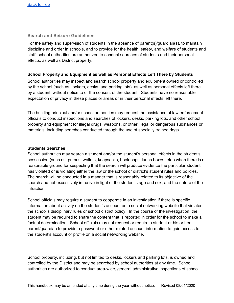#### <span id="page-22-0"></span>**Search and Seizure Guidelines**

For the safety and supervision of students in the absence of parent(s)/guardian(s), to maintain discipline and order in schools, and to provide for the health, safety, and welfare of students and staff, school authorities are authorized to conduct searches of students and their personal effects, as well as District property.

#### **School Property and Equipment as well as Personal Effects Left There by Students**

School authorities may inspect and search school property and equipment owned or controlled by the school (such as, lockers, desks, and parking lots), as well as personal effects left there by a student, without notice to or the consent of the student. Students have no reasonable expectation of privacy in these places or areas or in their personal effects left there.

The building principal and/or school authorities may request the assistance of law enforcement officials to conduct inspections and searches of lockers, desks, parking lots, and other school property and equipment for illegal drugs, weapons, or other illegal or dangerous substances or materials, including searches conducted through the use of specially trained dogs.

#### **Students Searches**

School authorities may search a student and/or the student's personal effects in the student's possession (such as, purses, wallets, knapsacks, book bags, lunch boxes, etc.) when there is a reasonable ground for suspecting that the search will produce evidence the particular student has violated or is violating either the law or the school or district's student rules and policies. The search will be conducted in a manner that is reasonably related to its objective of the search and not excessively intrusive in light of the student's age and sex, and the nature of the infraction.

School officials may require a student to cooperate in an investigation if there is specific information about activity on the student's account on a social networking website that violates the school's disciplinary rules or school district policy. In the course of the investigation, the student may be required to share the content that is reported in order for the school to make a factual determination. School officials may not request or require a student or his or her parent/guardian to provide a password or other related account information to gain access to the student's account or profile on a social networking website.

School property, including, but not limited to desks, lockers and parking lots, is owned and controlled by the District and may be searched by school authorities at any time. School authorities are authorized to conduct area-wide, general administrative inspections of school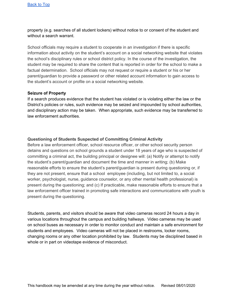property (e.g. searches of all student lockers) without notice to or consent of the student and without a search warrant.

School officials may require a student to cooperate in an investigation if there is specific information about activity on the student's account on a social networking website that violates the school's disciplinary rules or school district policy. In the course of the investigation, the student may be required to share the content that is reported in order for the school to make a factual determination. School officials may not request or require a student or his or her parent/guardian to provide a password or other related account information to gain access to the student's account or profile on a social networking website.

#### **Seizure of Property**

If a search produces evidence that the student has violated or is violating either the law or the District's policies or rules, such evidence may be seized and impounded by school authorities, and disciplinary action may be taken. When appropriate, such evidence may be transferred to law enforcement authorities.

#### **Questioning of Students Suspected of Committing Criminal Activity**

Before a law enforcement officer, school resource officer, or other school security person detains and questions on school grounds a student under 18 years of age who is suspected of committing a criminal act, the building principal or designee will: (a) Notify or attempt to notify the student's parent/guardian and document the time and manner in writing; (b) Make reasonable efforts to ensure the student's parent/guardian is present during questioning or, if they are not present, ensure that a school employee (including, but not limited to, a social worker, psychologist, nurse, guidance counselor, or any other mental health professional) is present during the questioning; and (c) If practicable, make reasonable efforts to ensure that a law enforcement officer trained in promoting safe interactions and communications with youth is present during the questioning.

Students, parents, and visitors should be aware that video cameras record 24 hours a day in various locations throughout the campus and building hallways. Video cameras may be used on school buses as necessary in order to monitor conduct and maintain a safe environment for students and employees. Video cameras will not be placed in restrooms, locker rooms, changing rooms or any other location prohibited by law. Students may be disciplined based in whole or in part on videotape evidence of misconduct.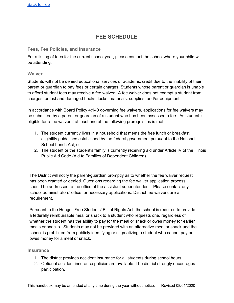# **FEE SCHEDULE**

#### <span id="page-24-1"></span><span id="page-24-0"></span>**Fees, Fee Policies, and Insurance**

For a listing of fees for the current school year, please contact the school where your child will be attending.

#### <span id="page-24-2"></span>**Waiver**

Students will not be denied educational services or academic credit due to the inability of their parent or guardian to pay fees or certain charges. Students whose parent or guardian is unable to afford student fees may receive a fee waiver. A fee waiver does not exempt a student from charges for lost and damaged books, locks, materials, supplies, and/or equipment.

In accordance with Board Policy 4:140 governing fee waivers, applications for fee waivers may be submitted by a parent or guardian of a student who has been assessed a fee. As student is eligible for a fee waiver if at least one of the following prerequisites is met:

- 1. The student currently lives in a household that meets the free lunch or breakfast eligibility guidelines established by the federal government pursuant to the National School Lunch Act; or
- 2. The student or the student's family is currently receiving aid under Article IV of the Illinois Public Aid Code (Aid to Families of Dependent Children).

The District will notify the parent/guardian promptly as to whether the fee waiver request has been granted or denied. Questions regarding the fee waiver application process should be addressed to the office of the assistant superintendent. Please contact any school administrators' office for necessary applications. District fee waivers are a requirement.

Pursuant to the Hunger-Free Students' Bill of Rights Act, the school is required to provide a federally reimbursable meal or snack to a student who requests one, regardless of whether the student has the ability to pay for the meal or snack or owes money for earlier meals or snacks. Students may not be provided with an alternative meal or snack and the school is prohibited from publicly identifying or stigmatizing a student who cannot pay or owes money for a meal or snack.

#### <span id="page-24-3"></span>**Insurance**

- 1. The district provides accident insurance for all students during school hours.
- 2. Optional accident insurance policies are available. The district strongly encourages participation.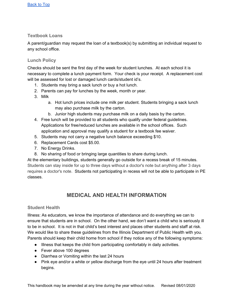#### <span id="page-25-0"></span>**Textbook Loans**

A parent/guardian may request the loan of a textbook(s) by submitting an individual request to any school office.

### <span id="page-25-1"></span>**Lunch Policy**

Checks should be sent the first day of the week for student lunches. At each school it is necessary to complete a lunch payment form. Your check is your receipt. A replacement cost will be assessed for lost or damaged lunch cards/student id's.

- 1. Students may bring a sack lunch or buy a hot lunch.
- 2. Parents can pay for lunches by the week, month or year.
- 3. Milk
	- a. Hot lunch prices include one milk per student. Students bringing a sack lunch may also purchase milk by the carton.
	- b. Junior high students may purchase milk on a daily basis by the carton.
- 4. Free lunch will be provided to all students who qualify under federal guidelines. Applications for free/reduced lunches are available in the school offices. Such application and approval may qualify a student for a textbook fee waiver.
- 5. Students may not carry a negative lunch balance exceeding \$10.
- 6. Replacement Cards cost \$5.00.
- 7. No Energy Drinks.
- 8. No sharing of food or bringing large quantities to share during lunch.

At the elementary buildings, students generally go outside for a recess break of 15 minutes. Students can stay inside for up to three days without a doctor's note but anything after 3 days requires a doctor's note. Students not participating in recess will not be able to participate in PE classes.

# **MEDICAL AND HEALTH INFORMATION**

#### <span id="page-25-3"></span><span id="page-25-2"></span>**Student Health**

Illness: As educators, we know the importance of attendance and do everything we can to ensure that students are in school. On the other hand, we don't want a child who is seriously ill to be in school. It is not in that child's best interest and places other students and staff at risk. We would like to share these guidelines from the Illinois Department of Public Health with you. Parents should keep their child home from school if they notice any of the following symptoms:

- Illness that keeps the child from participating comfortably in daily activities.
- Fever above 100 degrees
- Diarrhea or Vomiting within the last 24 hours
- Pink eye and/or a white or yellow discharge from the eye until 24 hours after treatment begins.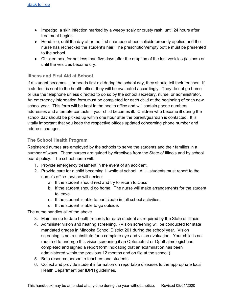- Impetigo, a skin infection marked by a weepy scaly or crusty rash, until 24 hours after treatment begins.
- Head lice, until the day after the first shampoo of pediculicide properly applied and the nurse has rechecked the student's hair. The prescription/empty bottle must be presented to the school.
- Chicken pox, for not less than five days after the eruption of the last vesicles (lesions) or until the vesicles become dry.

#### <span id="page-26-0"></span>**Illness and First Aid at School**

If a student becomes ill or needs first aid during the school day, they should tell their teacher. If a student is sent to the health office, they will be evaluated accordingly. They do not go home or use the telephone unless directed to do so by the school secretary, nurse, or administrator. An emergency information form must be completed for each child at the beginning of each new school year. This form will be kept in the health office and will contain phone numbers, addresses and alternate contacts if your child becomes ill. Children who become ill during the school day should be picked up within one hour after the parent/guardian is contacted. It is vitally important that you keep the respective offices updated concerning phone number and address changes.

#### <span id="page-26-1"></span>**The School Health Program**

Registered nurses are employed by the schools to serve the students and their families in a number of ways. These nurses are guided by directives from the State of Illinois and by school board policy. The school nurse will:

- 1. Provide emergency treatment in the event of an accident.
- 2. Provide care for a child becoming ill while at school. All ill students must report to the nurse's office- he/she will decide:
	- a. If the student should rest and try to return to class
	- b. If the student should go home. The nurse will make arrangements for the student to leave.
	- c. If the student is able to participate in full school activities.
	- d. If the student is able to go outside.

The nurse handles all of the above

- 3. Maintain up to date health records for each student as required by the State of Illinois.
- 4. Administer vision and hearing screening. (Vision screening will be conducted for state mandated grades in Minooka School District 201 during the school year. Vision screening is not a substitute for a complete eye and vision evaluation. Your child is not required to undergo this vision screening if an Optometrist or Ophthalmologist has completed and signed a report form indicating that an examination has been administered within the previous 12 months and on file at the school.)
- 5. Be a resource person to teachers and students.
- 6. Collect and provide student information on reportable diseases to the appropriate local Health Department per IDPH guidelines.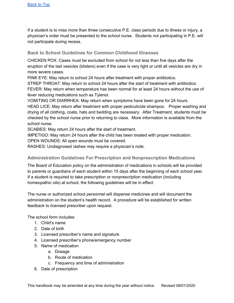If a student is to miss more than three consecutive P.E. class periods due to illness or injury, a physician's order must be presented to the school nurse. Students not participating in P.E. will not participate during recess.

#### <span id="page-27-0"></span>**Back to School Guidelines for Common Childhood Illnesses**

CHICKEN POX: Cases must be excluded from school for not less than five days after the eruption of the last vesicles (blisters) even if the case is very light or until all vesicles are dry in more severe cases.

PINK EYE: May return to school 24 hours after treatment with proper antibiotics.

STREP THROAT: May return to school 24 hours after the start of treatment with antibiotics. FEVER: May return when temperature has been normal for at least 24 hours without the use of fever reducing medications such as Tylenol.

VOMITING OR DIARRHEA: May return when symptoms have been gone for 24 hours. HEAD LICE: May return after treatment with proper pediculicide shampoo. Proper washing and drying of all clothing, coats, hats and bedding are necessary. After Treatment, students must be checked by the school nurse prior to returning to class. More information is available from the school nurse.

SCABIES: May return 24 hours after the start of treatment.

IMPETIGO: May return 24 hours after the child has been treated with proper medication.

OPEN WOUNDS: All open wounds must be covered.

<span id="page-27-1"></span>RASHES: Undiagnosed rashes may require a physician's note.

### **Administration Guidelines For Prescription and Nonprescription Medications**

The Board of Education policy on the administration of medications in schools will be provided to parents or guardians of each student within 15 days after the beginning of each school year. If a student is required to take prescription or nonprescription medication (including homeopathic oils) at school, the following guidelines will be in effect:

The nurse or authorized school personnel will dispense medicines and will document the administration on the student's health record. A procedure will be established for written feedback to licensed prescriber upon request.

The school form includes:

- 1. Child's name
- 2. Date of birth
- 3. Licensed prescriber's name and signature
- 4. Licensed prescriber's phone/emergency number
- 5. Name of medication
	- a. Dosage
	- b. Route of medication
	- c. Frequency and time of administration
- 6. Date of prescription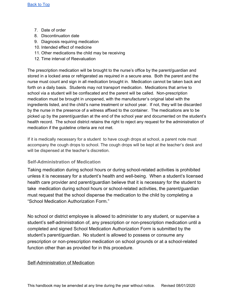- 7. Date of order
- 8. Discontinuation date
- 9. Diagnosis requiring medication
- 10. Intended effect of medicine
- 11. Other medications the child may be receiving
- 12. Time interval of Reevaluation

The prescription medication will be brought to the nurse's office by the parent/guardian and stored in a locked area or refrigerated as required in a secure area. Both the parent and the nurse must count and sign in all medication brought in. Medication cannot be taken back and forth on a daily basis. Students may not transport medication. Medications that arrive to school via a student will be confiscated and the parent will be called. Non-prescription medication must be brought in unopened, with the manufacturer's original label with the ingredients listed, and the child's name treatment or school year. If not, they will be discarded by the nurse in the presence of a witness affixed to the container. The medications are to be picked up by the parent/guardian at the end of the school year and documented on the student's health record. The school district retains the right to reject any request for the administration of medication if the guideline criteria are not met.

If it is medically necessary for a student to have cough drops at school, a parent note must accompany the cough drops to school. The cough drops will be kept at the teacher's desk and will be dispensed at the teacher's discretion.

#### <span id="page-28-0"></span>**Self-Administration of Medication**

Taking medication during school hours or during school-related activities is prohibited unless it is necessary for a student's health and well-being. When a student's licensed health care provider and parent/guardian believe that it is necessary for the student to take medication during school hours or school-related activities, the parent/guardian must request that the school dispense the medication to the child by completing a "School Medication Authorization Form."

No school or district employee is allowed to administer to any student, or supervise a student's self-administration of, any prescription or non-prescription medication until a completed and signed School Medication Authorization Form is submitted by the student's parent/guardian. No student is allowed to possess or consume any prescription or non-prescription medication on school grounds or at a school-related function other than as provided for in this procedure.

#### Self-Administration of Medication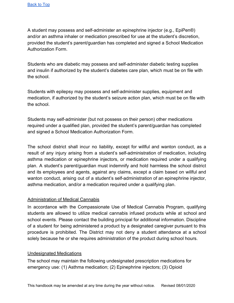A student may possess and self-administer an epinephrine injector (e.g., EpiPen®) and/or an asthma inhaler or medication prescribed for use at the student's discretion, provided the student's parent/guardian has completed and signed a School Medication Authorization Form.

Students who are diabetic may possess and self-administer diabetic testing supplies and insulin if authorized by the student's diabetes care plan, which must be on file with the school.

Students with epilepsy may possess and self-administer supplies, equipment and medication, if authorized by the student's seizure action plan, which must be on file with the school.

Students may self-administer (but not possess on their person) other medications required under a qualified plan, provided the student's parent/guardian has completed and signed a School Medication Authorization Form.

The school district shall incur no liability, except for willful and wanton conduct, as a result of any injury arising from a student's self-administration of medication, including asthma medication or epinephrine injectors, or medication required under a qualifying plan. A student's parent/guardian must indemnify and hold harmless the school district and its employees and agents, against any claims, except a claim based on willful and wanton conduct, arising out of a student's self-administration of an epinephrine injector, asthma medication, and/or a medication required under a qualifying plan.

### Administration of Medical Cannabis

In accordance with the Compassionate Use of Medical Cannabis Program, qualifying students are allowed to utilize medical cannabis infused products while at school and school events. Please contact the building principal for additional information. Discipline of a student for being administered a product by a designated caregiver pursuant to this procedure is prohibited. The District may not deny a student attendance at a school solely because he or she requires administration of the product during school hours.

#### Undesignated Medications

The school may maintain the following undesignated prescription medications for emergency use: (1) Asthma medication; (2) Epinephrine injectors; (3) Opioid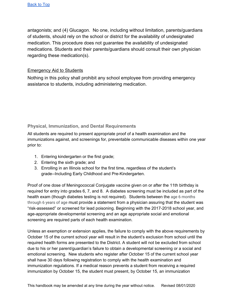antagonists; and (4) Glucagon. No one, including without limitation, parents/guardians of students, should rely on the school or district for the availability of undesignated medication. This procedure does not guarantee the availability of undesignated medications. Students and their parents/guardians should consult their own physician regarding these medication(s).

#### Emergency Aid to Students

Nothing in this policy shall prohibit any school employee from providing emergency assistance to students, including administering medication.

### <span id="page-30-0"></span>**Physical, Immunization, and Dental Requirements**

All students are required to present appropriate proof of a health examination and the immunizations against, and screenings for, preventable communicable diseases within one year prior to:

- 1. Entering kindergarten or the first grade;
- 2. Entering the sixth grade; and
- 3. Enrolling in an Illinois school for the first time, regardless of the student's grade--Including Early Childhood and Pre-Kindergarten.

Proof of one dose of Meningococcal Conjugate vaccine given on or after the 11th birthday is required for entry into grades 6, 7, and 8. A diabetes screening must be included as part of the health exam (though diabetes testing is not required). Students between the age 6 months through 6 years of age must provide a statement from a physician assuring that the student was "risk-assessed" or screened for lead poisoning. Beginning with the 2017-2018 school year, and age-appropriate developmental screening and an age appropriate social and emotional screening are required parts of each health examination.

Unless an exemption or extension applies, the failure to comply with the above requirements by October 15 of the current school year will result in the student's exclusion from school until the required health forms are presented to the District. A student will not be excluded from school due to his or her parent/guardian's failure to obtain a developmental screening or a social and emotional screening. New students who register after October 15 of the current school year shall have 30 days following registration to comply with the health examination and immunization regulations. If a medical reason prevents a student from receiving a required immunization by October 15, the student must present, by October 15, an immunization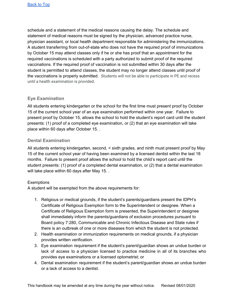schedule and a statement of the medical reasons causing the delay. The schedule and statement of medical reasons must be signed by the physician, advanced practice nurse, physician assistant, or local health department responsible for administering the immunizations. A student transferring from out-of-state who does not have the required proof of immunizations by October 15 may attend classes only if he or she has proof that an appointment for the required vaccinations is scheduled with a party authorized to submit proof of the required vaccinations. If the required proof of vaccination is not submitted within 30 days after the student is permitted to attend classes, the student may no longer attend classes until proof of the vaccinations is properly submitted. Students will not be able to participate in PE and recess until a health examination is provided.

### <span id="page-31-0"></span>**Eye Examination**

All students entering kindergarten or the school for the first time must present proof by October 15 of the current school year of an eye examination performed within one year. Failure to present proof by October 15, allows the school to hold the student's report card until the student presents: (1) proof of a completed eye examination, or (2) that an eye examination will take place within 60 days after October 15. .

#### <span id="page-31-1"></span>**Dental Examination**

All students entering kindergarten, second, < sixth grades, and ninth must present proof by May 15 of the current school year of having been examined by a licensed dentist within the last 18 months. Failure to present proof allows the school to hold the child's report card until the student presents: (1) proof of a completed dental examination, or (2) that a dental examination will take place within 60 days after May 15. .

#### **Exemptions**

A student will be exempted from the above requirements for:

- 1. Religious or medical grounds, if the student's parents/guardians present the IDPH's Certificate of Religious Exemption form to the Superintendent or designee. When a Certificate of Religious Exemption form is presented, the Superintendent or designee shall immediately inform the parents/guardians of exclusion procedures pursuant to Board policy 7:280, Communicable and Chronic Infectious Disease and State rules if there is an outbreak of one or more diseases from which the student is not protected.
- 2. Health examination or immunization requirements on medical grounds, if a physician provides written verification.
- 3. Eye examination requirement if the student's parent/guardian shows an undue burden or lack of access to a physician licensed to practice medicine in all of its branches who provides eye examinations or a licensed optometrist; or
- 4. Dental examination requirement if the student's parent/guardian shows an undue burden or a lack of access to a dentist.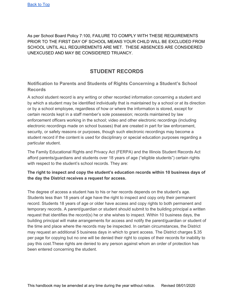As per School Board Policy 7:100, FAILURE TO COMPLY WITH THESE REQUIREMENTS PRIOR TO THE FIRST DAY OF SCHOOL MEANS YOUR CHILD WILL BE EXCLUDED FROM SCHOOL UNTIL ALL REQUIREMENTS ARE MET. THESE ABSENCES ARE CONSIDERED UNEXCUSED AND MAY BE CONSIDERED TRUANCY.

# **STUDENT RECORDS**

### <span id="page-32-1"></span><span id="page-32-0"></span>**Notification to Parents and Students of Rights Concerning a Student's School Records**

A school student record is any writing or other recorded information concerning a student and by which a student may be identified individually that is maintained by a school or at its direction or by a school employee, regardless of how or where the information is stored, except for certain records kept in a staff member's sole possession; records maintained by law enforcement officers working in the school; video and other electronic recordings (including electronic recordings made on school busses) that are created in part for law enforcement, security, or safety reasons or purposes, though such electronic recordings may become a student record if the content is used for disciplinary or special education purposes regarding a particular student.

The Family Educational Rights and Privacy Act (FERPA) and the Illinois Student Records Act afford parents/guardians and students over 18 years of age ("eligible students") certain rights with respect to the student's school records. They are:

#### **The right to inspect and copy the student's education records within 10 business days of the day the District receives a request for access.**

The degree of access a student has to his or her records depends on the student's age. Students less than 18 years of age have the right to inspect and copy only their permanent record. Students 18 years of age or older have access and copy rights to both permanent and temporary records. A parent/guardian or student should submit to the building principal a written request that identifies the record(s) he or she wishes to inspect. Within 10 business days, the building principal will make arrangements for access and notify the parent/guardian or student of the time and place where the records may be inspected. In certain circumstances, the District may request an additional 5 business days in which to grant access. The District charges \$.35 per page for copying but no one will be denied their right to copies of their records for inability to pay this cost.These rights are denied to any person against whom an order of protection has been entered concerning the student.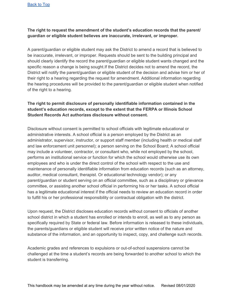#### **The right to request the amendment of the student's education records that the parent/ guardian or eligible student believes are inaccurate, irrelevant, or improper.**

A parent/guardian or eligible student may ask the District to amend a record that is believed to be inaccurate, irrelevant, or improper. Requests should be sent to the building principal and should clearly identify the record the parent/guardian or eligible student wants changed and the specific reason a change is being sought.If the District decides not to amend the record, the District will notify the parent/guardian or eligible student of the decision and advise him or her of their right to a hearing regarding the request for amendment. Additional information regarding the hearing procedures will be provided to the parent/guardian or eligible student when notified of the right to a hearing.

#### **The right to permit disclosure of personally identifiable information contained in the student's education records, except to the extent that the FERPA or Illinois School Student Records Act authorizes disclosure without consent.**

Disclosure without consent is permitted to school officials with legitimate educational or administrative interests. A school official is a person employed by the District as an administrator, supervisor, instructor, or support staff member (including health or medical staff and law enforcement unit personnel); a person serving on the School Board; A school official may include a volunteer, contractor, or consultant who, while not employed by the school, performs an institutional service or function for which the school would otherwise use its own employees and who is under the direct control of the school with respect to the use and maintenance of personally identifiable information from education records (such as an attorney, auditor, medical consultant, therapist. Or educational technology vendor); or any parent/guardian or student serving on an official committee, such as a disciplinary or grievance committee, or assisting another school official in performing his or her tasks. A school official has a legitimate educational interest if the official needs to review an education record in order to fulfill his or her professional responsibility or contractual obligation with the district.

Upon request, the District discloses education records without consent to officials of another school district in which a student has enrolled or intends to enroll, as well as to any person as specifically required by State or federal law. Before information is released to these individuals, the parents/guardians or eligible student will receive prior written notice of the nature and substance of the information, and an opportunity to inspect, copy, and challenge such records.

Academic grades and references to expulsions or out-of-school suspensions cannot be challenged at the time a student's records are being forwarded to another school to which the student is transferring.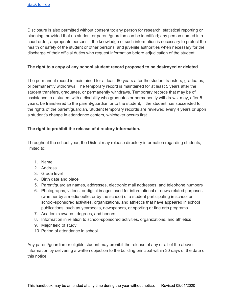Disclosure is also permitted without consent to: any person for research, statistical reporting or planning, provided that no student or parent/guardian can be identified; any person named in a court order; appropriate persons if the knowledge of such information is necessary to protect the health or safety of the student or other persons; and juvenile authorities when necessary for the discharge of their official duties who request information before adjudication of the student.

#### **The right to a copy of any school student record proposed to be destroyed or deleted.**

The permanent record is maintained for at least 60 years after the student transfers, graduates, or permanently withdraws. The temporary record is maintained for at least 5 years after the student transfers, graduates, or permanently withdraws. Temporary records that may be of assistance to a student with a disability who graduates or permanently withdraws, may, after 5 years, be transferred to the parent/guardian or to the student, if the student has succeeded to the rights of the parent/guardian. Student temporary records are reviewed every 4 years or upon a student's change in attendance centers, whichever occurs first.

#### **The right to prohibit the release of directory information.**

Throughout the school year, the District may release directory information regarding students, limited to:

- 1. Name
- 2. Address
- 3. Grade level
- 4. Birth date and place
- 5. Parent/guardian names, addresses, electronic mail addresses, and telephone numbers
- 6. Photographs, videos, or digital images used for informational or news-related purposes (whether by a media outlet or by the school) of a student participating in school or school-sponsored activities, organizations, and athletics that have appeared in school publications, such as yearbooks, newspapers, or sporting or fine arts programs
- 7. Academic awards, degrees, and honors
- 8. Information in relation to school-sponsored activities, organizations, and athletics
- 9. Major field of study
- 10. Period of attendance in school

Any parent/guardian or eligible student may prohibit the release of any or all of the above information by delivering a written objection to the building principal within 30 days of the date of this notice.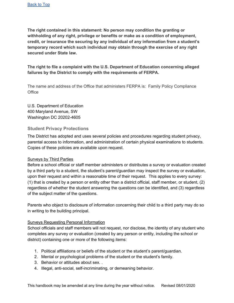**The right contained in this statement: No person may condition the granting or withholding of any right, privilege or benefits or make as a condition of employment, credit, or insurance the securing by any individual of any information from a student's temporary record which such individual may obtain through the exercise of any right secured under State law.**

**The right to file a complaint with the U.S. Department of Education concerning alleged failures by the District to comply with the requirements of FERPA.**

The name and address of the Office that administers FERPA is: Family Policy Compliance **Office** 

U.S. Department of Education 400 Maryland Avenue, SW Washington DC 20202-4605

#### <span id="page-35-0"></span>**Student Privacy Protections**

The District has adopted and uses several policies and procedures regarding student privacy, parental access to information, and administration of certain physical examinations to students. Copies of these policies are available upon request.

#### Surveys by Third Parties

Before a school official or staff member administers or distributes a survey or evaluation created by a third party to a student, the student's parent/guardian may inspect the survey or evaluation, upon their request and within a reasonable time of their request. This applies to every survey: (1) that is created by a person or entity other than a district official, staff member, or student, (2) regardless of whether the student answering the questions can be identified, and (3) regardless of the subject matter of the questions.

Parents who object to disclosure of information concerning their child to a third party may do so in writing to the building principal.

#### Surveys Requesting Personal Information

School officials and staff members will not request, nor disclose, the identity of any student who completes any survey or evaluation (created by any person or entity, including the school or district) containing one or more of the following items:

- 1. Political affiliations or beliefs of the student or the student's parent/guardian.
- 2. Mental or psychological problems of the student or the student's family.
- 3. Behavior or attitudes about sex. .
- 4. Illegal, anti-social, self-incriminating, or demeaning behavior.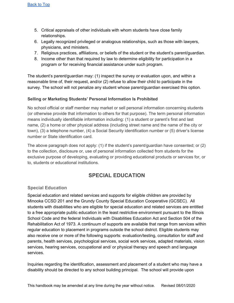- 5. Critical appraisals of other individuals with whom students have close family relationships.
- 6. Legally recognized privileged or analogous relationships, such as those with lawyers, physicians, and ministers.
- 7. Religious practices, affiliations, or beliefs of the student or the student's parent/guardian.
- 8. Income other than that required by law to determine eligibility for participation in a program or for receiving financial assistance under such program.

The student's parent/guardian may: (1) inspect the survey or evaluation upon, and within a reasonable time of, their request, and/or (2) refuse to allow their child to participate in the survey. The school will not penalize any student whose parent/guardian exercised this option.

# **Selling or Marketing Students' Personal Information Is Prohibited**

No school official or staff member may market or sell personal information concerning students (or otherwise provide that information to others for that purpose). The term personal information means individually identifiable information including: (1) a student or parent's first and last name, (2) a home or other physical address (including street name and the name of the city or town), (3) a telephone number, (4) a Social Security identification number or (5) driver's license number or State identification card.

The above paragraph does not apply: (1) if the student's parent/guardian have consented; or (2) to the collection, disclosure or, use of personal information collected from students for the exclusive purpose of developing, evaluating or providing educational products or services for, or to, students or educational institutions.

# **SPECIAL EDUCATION**

# **Special Education**

Special education and related services and supports for eligible children are provided by Minooka CCSD 201 and the Grundy County Special Education Cooperative (GCSEC). All students with disabilities who are eligible for special education and related services are entitled to a free appropriate public education in the least restrictive environment pursuant to the Illinois School Code and the federal Individuals with Disabilities Education Act and Section 504 of the Rehabilitation Act of 1973. A continuum of supports are available that range from services within regular education to placement in programs outside the school district. Eligible students may also receive one or more of the following supports: evaluation/testing, consultation for staff and parents, health services, psychological services, social work services, adapted materials, vision services, hearing services, occupational and/ or physical therapy and speech and language services.

Inquiries regarding the identification, assessment and placement of a student who may have a disability should be directed to any school building principal. The school will provide upon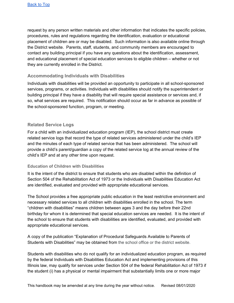request by any person written materials and other information that indicates the specific policies, procedures, rules and regulations regarding the identification, evaluation or educational placement of children are or may be disabled. Such information is also available online through the District website. Parents, staff, students, and community members are encouraged to contact any building principal if you have any questions about the identification, assessment, and educational placement of special education services to eligible children – whether or not they are currently enrolled in the District.

## **Accommodating Individuals with Disabilities**

Individuals with disabilities will be provided an opportunity to participate in all school-sponsored services, programs, or activities. Individuals with disabilities should notify the superintendent or building principal if they have a disability that will require special assistance or services and, if so, what services are required. This notification should occur as far in advance as possible of the school-sponsored function, program, or meeting.

# **Related Service Logs**

For a child with an individualized education program (IEP), the school district must create related service logs that record the type of related services administered under the child's IEP and the minutes of each type of related service that has been administered. The school will provide a child's parent/guardian a copy of the related service log at the annual review of the child's IEP and at any other time upon request.

## **Education of Children with Disabilities**

It is the intent of the district to ensure that students who are disabled within the definition of Section 504 of the Rehabilitation Act of 1973 or the Individuals with Disabilities Education Act are identified, evaluated and provided with appropriate educational services.

The School provides a free appropriate public education in the least restrictive environment and necessary related services to all children with disabilities enrolled in the school. The term "children with disabilities" means children between ages 3 and the day before their 22nd birthday for whom it is determined that special education services are needed. It is the intent of the school to ensure that students with disabilities are identified, evaluated, and provided with appropriate educational services.

A copy of the publication "Explanation of Procedural Safeguards Available to Parents of Students with Disabilities" may be obtained from the school office or the district website.

Students with disabilities who do not qualify for an individualized education program, as required by the federal Individuals with Disabilities Education Act and implementing provisions of this Illinois law, may qualify for services under Section 504 of the federal Rehabilitation Act of 1973 if the student (i) has a physical or mental impairment that substantially limits one or more major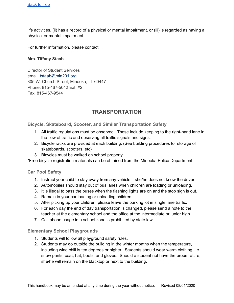life activities, (ii) has a record of a physical or mental impairment, or (iii) is regarded as having a physical or mental impairment.

For further information, please contact:

#### **Mrs. Tiffany Staab**

Director of Student Services email: tstaab@min201.org 305 W. Church Street, Minooka, IL 60447 Phone: 815-467-5042 Ext. #2 Fax: 815-467-9544

# **TRANSPORTATION**

**Bicycle, Skateboard, Scooter, and Similar Transportation Safety**

- 1. All traffic regulations must be observed. These include keeping to the right-hand lane in the flow of traffic and observing all traffic signals and signs.
- 2. Bicycle racks are provided at each building. (See building procedures for storage of skateboards, scooters, etc)
- 3. Bicycles must be walked on school property.

\*Free bicycle registration materials can be obtained from the Minooka Police Department.

### **Car Pool Safety**

- 1. Instruct your child to stay away from any vehicle if she/he does not know the driver.
- 2. Automobiles should stay out of bus lanes when children are loading or unloading.
- 3. It is illegal to pass the buses when the flashing lights are on and the stop sign is out.
- 4. Remain in your car loading or unloading children.
- 5. After picking up your children, please leave the parking lot in single lane traffic.
- 6. For each day the end of day transportation is changed, please send a note to the teacher at the elementary school and the office at the intermediate or junior high.
- 7. Cell phone usage in a school zone is prohibited by state law.

### **Elementary School Playgrounds**

- 1. Students will follow all playground safety rules.
- 2. Students may go outside the building in the winter months when the temperature, including wind chill is ten degrees or higher. Students should wear warm clothing, i.e. snow pants, coat, hat, boots, and gloves. Should a student not have the proper attire, she/he will remain on the blacktop or next to the building.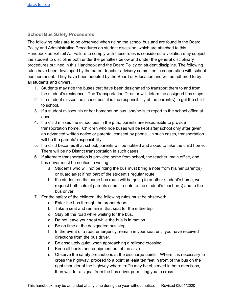# **School Bus Safety Procedures**

The following rules are to be observed when riding the school bus and are found in the Board Policy and Administrative Procedures on student discipline, which are attached to this Handbook as Exhibit A. Failure to comply with these rules is considered a violation may subject the student to discipline both under the penalties below and under the general disciplinary procedures outlined in this Handbook and the Board Policy on student discipline. The following rules have been developed by the parent-teacher advisory committee in cooperation with school bus personnel. They have been adopted by the Board of Education and will be adhered to by all students and drivers.

- 1. Students may ride the buses that have been designated to transport them to and from the student's residence. The Transportation Director will determine assigned bus stops.
- 2. If a student misses the school bus, it is the responsibility of the parent(s) to get the child to school.
- 3. If a student misses his or her homebound bus, she/he is to report to the school office at once.
- 4. If a child misses the school bus in the p.m., parents are responsible to provide transportation home. Children who ride buses will be kept after school only after given an advanced written notice or parental consent by phone. In such cases, transportation will be the parents' responsibility.
- 5. If a child becomes ill at school, parents will be notified and asked to take the child home. There will be no District transportation in such cases.
- 6. If alternate transportation is provided home from school, the teacher, main office, and bus driver must be notified in writing.
	- a. Students who will not be riding the bus must bring a note from his/her parent(s) or guardian(s) if not part of the student's regular route.
	- b. If a student on the same bus route will be going to another student's home, we request both sets of parents submit a note to the student's teacher(s) and to the bus driver.
- 7. For the safety of the children, the following rules must be observed:
	- a. Enter the bus through the proper doors.
	- b. Take a seat and remain in that seat for the entire trip.
	- c. Stay off the road while waiting for the bus.
	- d. Do not leave your seat while the bus is in motion.
	- e. Be on time at the designated bus stop.
	- f. In the event of a road emergency, remain in your seat until you have received directions from the bus driver.
	- g. Be absolutely quiet when approaching a railroad crossing.
	- h. Keep all books and equipment out of the aisle.
	- i. Observe the safety precautions at the discharge points. Where it is necessary to cross the highway, proceed to a point at least ten feet in front of the bus on the right shoulder of the highway where traffic may be observed in both directions, then wait for a signal from the bus driver permitting you to cross.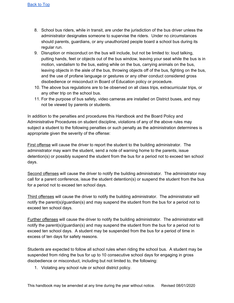- 8. School bus riders, while in transit, are under the jurisdiction of the bus driver unless the administrator designates someone to supervise the riders. Under no circumstances should parents, guardians, or any unauthorized people board a school bus during its regular run.
- 9. Disruption or misconduct on the bus will include, but not be limited to: loud talking, putting hands, feet or objects out of the bus window, leaving your seat while the bus is in motion, vandalism to the bus, eating while on the bus, carrying animals on the bus, leaving objects in the aisle of the bus, throwing objects off of the bus, fighting on the bus, and the use of profane language or gestures or any other conduct considered gross disobedience or misconduct in Board of Education policy or procedure.
- 10. The above bus regulations are to be observed on all class trips, extracurricular trips, or any other trip on the school bus.
- 11. For the purpose of bus safety, video cameras are installed on District buses, and may not be viewed by parents or students.

In addition to the penalties and procedures this Handbook and the Board Policy and Administrative Procedures on student discipline, violations of any of the above rules may subject a student to the following penalties or such penalty as the administration determines is appropriate given the severity of the offense:

First offense will cause the driver to report the student to the building administrator. The administrator may warn the student, send a note of warning home to the parents, issue detention(s) or possibly suspend the student from the bus for a period not to exceed ten school days.

Second offenses will cause the driver to notify the building administrator. The administrator may call for a parent conference, issue the student detention(s) or suspend the student from the bus for a period not to exceed ten school days.

Third offenses will cause the driver to notify the building administrator. The administrator will notify the parent(s)/guardian(s) and may suspend the student from the bus for a period not to exceed ten school days.

Further offenses will cause the driver to notify the building administrator. The administrator will notify the parent(s)/guardian(s) and may suspend the student from the bus for a period not to exceed ten school days. A student may be suspended from the bus for a period of time in excess of ten days for safety reasons.

Students are expected to follow all school rules when riding the school bus. A student may be suspended from riding the bus for up to 10 consecutive school days for engaging in gross disobedience or misconduct, including but not limited to, the following:

1. Violating any school rule or school district policy.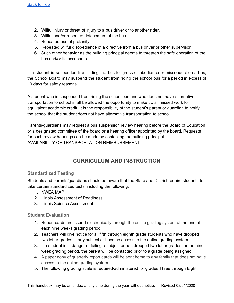- 2. Willful injury or threat of injury to a bus driver or to another rider.
- 3. Willful and/or repeated defacement of the bus.
- 4. Repeated use of profanity.
- 5. Repeated willful disobedience of a directive from a bus driver or other supervisor.
- 6. Such other behavior as the building principal deems to threaten the safe operation of the bus and/or its occupants.

If a student is suspended from riding the bus for gross disobedience or misconduct on a bus, the School Board may suspend the student from riding the school bus for a period in excess of 10 days for safety reasons.

A student who is suspended from riding the school bus and who does not have alternative transportation to school shall be allowed the opportunity to make up all missed work for equivalent academic credit. It is the responsibility of the student's parent or guardian to notify the school that the student does not have alternative transportation to school.

Parents/guardians may request a bus suspension review hearing before the Board of Education or a designated committee of the board or a hearing officer appointed by the board. Requests for such review hearings can be made by contacting the building principal. AVAILABILITY OF TRANSPORTATION REIMBURSEMENT

# **CURRICULUM AND INSTRUCTION**

# **Standardized Testing**

Students and parents/guardians should be aware that the State and District require students to take certain standardized tests, including the following:

- 1. NWEA MAP
- 2. Illinois Assessment of Readiness
- 3. Illinois Science Assessment

## **Student Evaluation**

- 1. Report cards are issued electronically through the online grading system at the end of each nine weeks grading period.
- 2. Teachers will give notice for all fifth through eighth grade students who have dropped two letter grades in any subject or have no access to the online grading system.
- 3. If a student is in danger of failing a subject or has dropped two letter grades for the nine week grading period, the parent will be contacted prior to a grade being assigned.
- 4. A paper copy of quarterly report cards will be sent home to any family that does not have access to the online grading system.
- 5. The following grading scale is required/administered for grades Three through Eight: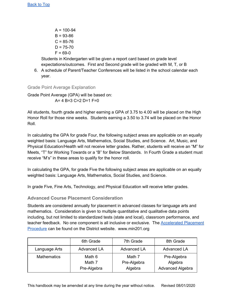$A = 100 - 94$  $B = 93 - 86$  $C = 85 - 76$  $D = 75 - 70$  $F = 69 - 0$ 

Students in Kindergarten will be given a report card based on grade level expectations/outcomes. First and Second grade will be graded with M, T, or B

6. A schedule of Parent/Teacher Conferences will be listed in the school calendar each year.

Grade Point Average Explanation

Grade Point Average (GPA) will be based on: A= 4 B=3 C=2 D=1 F=0

All students, fourth grade and higher earning a GPA of 3.75 to 4.00 will be placed on the High Honor Roll for those nine weeks. Students earning a 3.50 to 3.74 will be placed on the Honor Roll.

In calculating the GPA for grade Four, the following subject areas are applicable on an equally weighted basis: Language Arts, Mathematics, Social Studies, and Science. Art, Music, and Physical Education/Health will not receive letter grades. Rather, students will receive an "M" for Meets, "T" for Working Towards or a "B" for Below Standards. In Fourth Grade a student must receive "M's" in these areas to qualify for the honor roll.

In calculating the GPA, for grade Five the following subject areas are applicable on an equally weighted basis: Language Arts, Mathematics, Social Studies, and Science.

In grade Five, Fine Arts, Technology, and Physical Education will receive letter grades.

**Advanced Course Placement Consideration**

Students are considered annually for placement in advanced classes for language arts and mathematics. Consideration is given to multiple quantitative and qualitative data points including, but not limited to standardized tests (state and local), classroom performance, and teacher feedback. No one component is all inclusive or exclusive. The **[Accelerated](https://docs.google.com/document/d/1WB0ZY-HDIeMW1d-1gpfFwCVGKdrMnDFY4JSJQ9qXPhw/edit#heading=h.3pqtu8xsdeu8) Placement** [Procedure](https://docs.google.com/document/d/1WB0ZY-HDIeMW1d-1gpfFwCVGKdrMnDFY4JSJQ9qXPhw/edit#heading=h.3pqtu8xsdeu8) can be found on the District website. www.min201.org

|                    | 6th Grade          | 7th Grade             | 8th Grade               |
|--------------------|--------------------|-----------------------|-------------------------|
| Language Arts      | <b>Advanced LA</b> | <b>Advanced LA</b>    | <b>Advanced LA</b>      |
| <b>Mathematics</b> | Math 6<br>Math 7   | Math 7<br>Pre-Algebra | Pre-Algebra<br>Algebra  |
|                    | Pre-Algebra        | Algebra               | <b>Advanced Algebra</b> |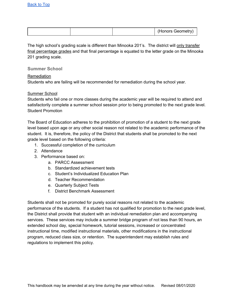|  | <br>$\sim$ $\sim$ $\sim$ $\sim$ $\sim$<br>----<br>Geometry<br>פזמונור<br>. <b>.</b> |
|--|-------------------------------------------------------------------------------------|
|--|-------------------------------------------------------------------------------------|

The high school's grading scale is different than Minooka 201's. The district will only transfer final percentage grades and that final percentage is equated to the letter grade on the Minooka 201 grading scale.

#### **Summer School**

#### Remediation

Students who are failing will be recommended for remediation during the school year.

### Summer School

Students who fail one or more classes during the academic year will be required to attend and satisfactorily complete a summer school session prior to being promoted to the next grade level. Student Promotion

The Board of Education adheres to the prohibition of promotion of a student to the next grade level based upon age or any other social reason not related to the academic performance of the student. It is, therefore, the policy of the District that students shall be promoted to the next grade level based on the following criteria:

- 1. Successful completion of the curriculum
- 2. Attendance
- 3. Performance based on:
	- a. PARCC Assessment
	- b. Standardized achievement tests
	- c. Student's Individualized Education Plan
	- d. Teacher Recommendation
	- e. Quarterly Subject Tests
	- f. District Benchmark Assessment

Students shall not be promoted for purely social reasons not related to the academic performance of the students. If a student has not qualified for promotion to the next grade level, the District shall provide that student with an individual remediation plan and accompanying services. These services may include a summer bridge program of not less than 90 hours, an extended school day, special homework, tutorial sessions, increased or concentrated instructional time, modified instructional materials, other modifications in the instructional program, reduced class size, or retention. The superintendent may establish rules and regulations to implement this policy.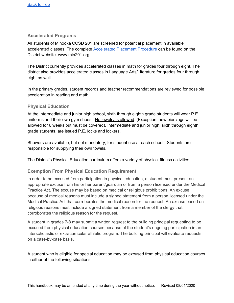## **Accelerated Programs**

All students of Minooka CCSD 201 are screened for potential placement in available accelerated classes. The complete [Accelerated](https://docs.google.com/document/d/1WB0ZY-HDIeMW1d-1gpfFwCVGKdrMnDFY4JSJQ9qXPhw/edit#heading=h.3pqtu8xsdeu8) Placement Procedure can be found on the District website. www.min201.org

The District currently provides accelerated classes in math for grades four through eight. The district also provides accelerated classes in Language Arts/Literature for grades four through eight as well.

In the primary grades, student records and teacher recommendations are reviewed for possible acceleration in reading and math.

## **Physical Education**

At the intermediate and junior high school, sixth through eighth grade students will wear P.E. uniforms and their own gym shoes. No jewelry is allowed. (Exception: new piercings will be allowed for 6 weeks but must be covered). Intermediate and junior high, sixth through eighth grade students, are issued P.E. locks and lockers.

Showers are available, but not mandatory, for student use at each school. Students are responsible for supplying their own towels.

The District's Physical Education curriculum offers a variety of physical fitness activities.

## **Exemption From Physical Education Requirement**

In order to be excused from participation in physical education, a student must present an appropriate excuse from his or her parent/guardian or from a person licensed under the Medical Practice Act. The excuse may be based on medical or religious prohibitions. An excuse because of medical reasons must include a signed statement from a person licensed under the Medical Practice Act that corroborates the medical reason for the request. An excuse based on religious reasons must include a signed statement from a member of the clergy that corroborates the religious reason for the request.

A student in grades 7-8 may submit a written request to the building principal requesting to be excused from physical education courses because of the student's ongoing participation in an interscholastic or extracurricular athletic program. The building principal will evaluate requests on a case-by-case basis.

A student who is eligible for special education may be excused from physical education courses in either of the following situations: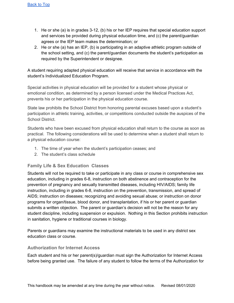- 1. He or she (a) is in grades 3-12, (b) his or her IEP requires that special education support and services be provided during physical education time, and (c) the parent/guardian agrees or the IEP team makes the determination; or
- 2. He or she (a) has an IEP, (b) is participating in an adaptive athletic program outside of the school setting, and (c) the parent/guardian documents the student's participation as required by the Superintendent or designee.

A student requiring adapted physical education will receive that service in accordance with the student's Individualized Education Program.

Special activities in physical education will be provided for a student whose physical or emotional condition, as determined by a person licensed under the Medical Practices Act, prevents his or her participation in the physical education course.

State law prohibits the School District from honoring parental excuses based upon a student's participation in athletic training, activities, or competitions conducted outside the auspices of the School District.

Students who have been excused from physical education shall return to the course as soon as practical. The following considerations will be used to determine when a student shall return to a physical education course:

- 1. The time of year when the student's participation ceases; and
- 2. The student's class schedule

## **Family Life & Sex Education Classes**

Students will not be required to take or participate in any class or course in comprehensive sex education, including in grades 6-8, instruction on both abstinence and contraception for the prevention of pregnancy and sexually transmitted diseases, including HIV/AIDS; family life instruction, including in grades 6-8, instruction on the prevention, transmission, and spread of AIDS; instruction on diseases; recognizing and avoiding sexual abuse; or instruction on donor programs for organ/tissue, blood donor, and transplantation, if his or her parent or guardian submits a written objection. The parent or guardian's decision will not be the reason for any student discipline, including suspension or expulsion. Nothing in this Section prohibits instruction in sanitation, hygiene or traditional courses in biology.

Parents or guardians may examine the instructional materials to be used in any district sex education class or course.

## **Authorization for Internet Access**

Each student and his or her parent(s)/guardian must sign the Authorization for Internet Access before being granted use. The failure of any student to follow the terms of the Authorization for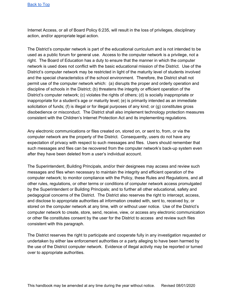Internet Access, or all of Board Policy 6:235, will result in the loss of privileges, disciplinary action, and/or appropriate legal action.

The District's computer network is part of the educational curriculum and is not intended to be used as a public forum for general use. Access to the computer network is a privilege, not a right. The Board of Education has a duty to ensure that the manner in which the computer network is used does not conflict with the basic educational mission of the District. Use of the District's computer network may be restricted in light of the maturity level of students involved and the special characteristics of the school environment. Therefore, the District shall not permit use of the computer network which: (a) disrupts the proper and orderly operation and discipline of schools in the District; (b) threatens the integrity or efficient operation of the District's computer network; (c) violates the rights of others; (d) is socially inappropriate or inappropriate for a student's age or maturity level; (e) is primarily intended as an immediate solicitation of funds; (f) is illegal or for illegal purposes of any kind; or (g) constitutes gross disobedience or misconduct. The District shall also implement technology protection measures consistent with the Children's Internet Protection Act and its implementing regulations.

Any electronic communications or files created on, stored on, or sent to, from, or via the computer network are the property of the District. Consequently, users do not have any expectation of privacy with respect to such messages and files. Users should remember that such messages and files can be recovered from the computer network's back-up system even after they have been deleted from a user's individual account.

The Superintendent, Building Principals, and/or their designees may access and review such messages and files when necessary to maintain the integrity and efficient operation of the computer network; to monitor compliance with the Policy, these Rules and Regulations, and all other rules, regulations, or other terms or conditions of computer network access promulgated by the Superintendent or Building Principals; and to further all other educational, safety and pedagogical concerns of the District. The District also reserves the right to intercept, access, and disclose to appropriate authorities all information created with, sent to, received by, or stored on the computer network at any time, with or without user notice. Use of the District's computer network to create, store, send, receive, view, or access any electronic communication or other file constitutes consent by the user for the District to access and review such files consistent with this paragraph.

The District reserves the right to participate and cooperate fully in any investigation requested or undertaken by either law enforcement authorities or a party alleging to have been harmed by the use of the District computer network. Evidence of illegal activity may be reported or turned over to appropriate authorities.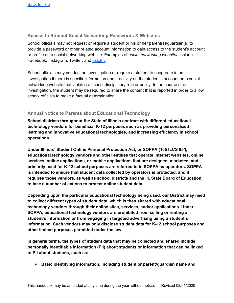# **Access to Student Social Networking Passwords & Websites**

School officials may not request or require a student or his or her parent(s)/guardian(s) to provide a password or other related account information to gain access to the student's account or profile on a social networking website. Examples of *social networking websites* include Facebook, Instagram, Twitter, and **[ask.fm](http://ask.fm/).** 

School officials may conduct an investigation or require a student to cooperate in an investigation if there is specific information about activity on the student's account on a social networking website that violates a school disciplinary rule or policy. In the course of an investigation, the student may be required to share the content that is reported in order to allow school officials to make a factual determination.

## **Annual Notice to Parents about Educational Technology**

**School districts throughout the State of Illinois contract with different educational technology vendors for beneficial K-12 purposes such as providing personalized learning and innovative educational technologies, and increasing efficiency in school operations.**

**Under Illinois' Student Online Personal Protection Act, or SOPPA (105 ILCS 85/), educational technology vendors and other entities that operate Internet websites, online services, online applications, or mobile applications that are designed, marketed, and primarily used for K-12 school purposes are referred to in SOPPA as operators. SOPPA is intended to ensure that student data collected by operators is protected, and it requires those vendors, as well as school districts and the Ill. State Board of Education, to take a number of actions to protect online student data.**

**Depending upon the particular educational technology being used, our District may need to collect different types of student data, which is then shared with educational technology vendors through their online sites, services, and/or applications. Under SOPPA, educational technology vendors are prohibited from selling or renting a student's information or from engaging in targeted advertising using a student's information. Such vendors may only disclose student data for K-12 school purposes and other limited purposes permitted under the law.**

**In general terms, the types of student data that may be collected and shared include personally identifiable information (PII) about students or information that can be linked to PII about students, such as:**

**● Basic identifying information, including student or parent/guardian name and**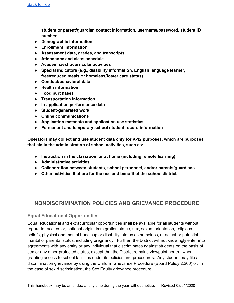**student or parent/guardian contact information, username/password, student ID number**

- **● Demographic information**
- **● Enrollment information**
- **● Assessment data, grades, and transcripts**
- **● Attendance and class schedule**
- **● Academic/extracurricular activities**
- **● Special indicators (e.g., disability information, English language learner, free/reduced meals or homeless/foster care status)**
- **● Conduct/behavioral data**
- **● Health information**
- **● Food purchases**
- **● Transportation information**
- **● In-application performance data**
- **● Student-generated work**
- **● Online communications**
- **● Application metadata and application use statistics**
- **● Permanent and temporary school student record information**

**Operators may collect and use student data only for K-12 purposes, which are purposes that aid in the administration of school activities, such as:**

- **● Instruction in the classroom or at home (including remote learning)**
- **● Administrative activities**
- **● Collaboration between students, school personnel, and/or parents/guardians**
- **● Other activities that are for the use and benefit of the school district**

# **NONDISCRIMINATION POLICIES AND GRIEVANCE PROCEDURE**

## **Equal Educational Opportunities**

Equal educational and extracurricular opportunities shall be available for all students without regard to race, color, national origin, immigration status, sex, sexual orientation, religious beliefs, physical and mental handicap or disability, status as homeless, or actual or potential marital or parental status, including pregnancy. Further, the District will not knowingly enter into agreements with any entity or any individual that discriminates against students on the basis of sex or any other protected status, except that the District remains viewpoint neutral when granting access to school facilities under its policies and procedures. Any student may file a discrimination grievance by using the Uniform Grievance Procedure (Board Policy 2:260) or, in the case of sex discrimination, the Sex Equity grievance procedure.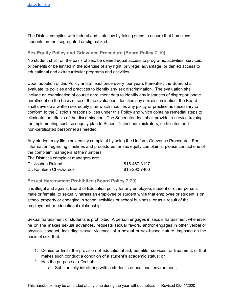[Back](#page-1-0) to Top

The District complies with federal and state law by taking steps to ensure that homeless students are not segregated or stigmatized.

## **Sex Equity Policy and Grievance Procedure (Board Policy 7:10)**

No student shall, on the basis of sex, be denied equal access to programs, activities, services, or benefits or be limited in the exercise of any right, privilege, advantage, or denied access to educational and extracurricular programs and activities.

Upon adoption of this Policy and at least once every four years thereafter, the Board shall evaluate its policies and practices to identify any sex discrimination. The evaluation shall include an examination of course enrollment data to identify any instances of disproportionate enrollment on the basis of sex. If the evaluation identifies any sex discrimination, the Board shall develop a written sex equity plan which modifies any policy or practice as necessary to conform to the District's responsibilities under this Policy and which contains remedial steps to eliminate the effects of the discrimination. The Superintendent shall provide in-service training for implementing such sex equity plan to School District administrators, certificated and non-certificated personnel as needed.

Any student may file a sex equity complaint by using the Uniform Grievance Procedure. For information regarding timelines and procedures for sex equity complaints, please contact one of the complaint managers at the numbers:

The District's complaint managers are:

| Dr. Joshua Ruland       | 815-467-3127 |
|-------------------------|--------------|
| Dr. Kathleen Cheshareck | 815-290-7400 |

**Sexual Harassment Prohibited (Board Policy 7:20)**

It is illegal and against Board of Education policy for any employee, student or other person, male or female, to sexually harass an employee or student while that employee or student is on school property or engaging in school activities or school business, or as a result of the employment or educational relationship.

Sexual harassment of students is prohibited. A person engages in sexual harassment whenever he or she makes sexual advances, requests sexual favors, and/or engages in other verbal or physical conduct, including sexual violence, of a sexual or sex-based nature, imposed on the basis of sex, that:

- 1. Denies or limits the provision of educational aid, benefits, services, or treatment; or that makes such conduct a condition of a student's academic status; or
- 2. Has the purpose or effect of:
	- a. Substantially interfering with a student's educational environment;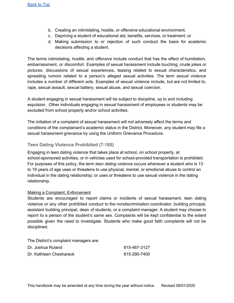- b. Creating an intimidating, hostile, or offensive educational environment;
- c. Depriving a student of educational aid, benefits, services, or treatment; or
- d. Making submission to or rejection of such conduct the basis for academic decisions affecting a student.

The terms *intimidating*, *hostile*, and *offensive* include conduct that has the effect of humiliation, embarrassment, or discomfort. Examples of sexual harassment include touching, crude jokes or pictures, discussions of sexual experiences, teasing related to sexual characteristics, and spreading rumors related to a person's alleged sexual activities. The term *sexual violence* includes a number of different acts. Examples of sexual violence include, but are not limited to, rape, sexual assault, sexual battery, sexual abuse, and sexual coercion.

A student engaging in sexual harassment will be subject to discipline, up to and including expulsion. Other individuals engaging in sexual harassment of employees or students may be excluded from school property and/or school activities.

The initiation of a complaint of sexual harassment will not adversely affect the terms and conditions of the complainant's academic status in the District. Moreover, any student may file a sexual harassment grievance by using the Uniform Grievance Procedure.

## **Teen Dating Violence Prohibited (7:185)**

Engaging in teen dating violence that takes place at school, on school property, at school-sponsored activities, or in vehicles used for school-provided transportation is prohibited. For purposes of this policy, the term *teen dating violence* occurs whenever a student who is 13 to 19 years of age uses or threatens to use physical, mental, or emotional abuse to control an individual in the dating relationship; or uses or threatens to use sexual violence in the dating relationship.

### Making a Complaint; Enforcement

Students are encouraged to report claims or incidents of sexual harassment, teen dating violence or any other prohibited conduct to the nondiscrimination coordinator, building principal, assistant building principal, dean of students, or a complaint manager. A student may choose to report to a person of the student's same sex. Complaints will be kept confidential to the extent possible given the need to investigate. Students who make good faith complaints will not be disciplined.

The District's complaint managers are:

| Dr. Joshua Ruland       | 815-467-3127 |
|-------------------------|--------------|
| Dr. Kathleen Cheshareck | 815-290-7400 |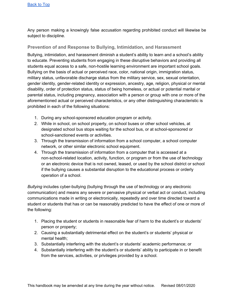Any person making a knowingly false accusation regarding prohibited conduct will likewise be subject to discipline.

# **Prevention of and Response to Bullying, Intimidation, and Harassment**

Bullying, intimidation, and harassment diminish a student's ability to learn and a school's ability to educate. Preventing students from engaging in these disruptive behaviors and providing all students equal access to a safe, non-hostile learning environment are important school goals. Bullying on the basis of actual or perceived race, color, national origin, immigration status, military status, unfavorable discharge status from the military service, sex, sexual orientation, gender identity, gender-related identity or expression, ancestry, age, religion, physical or mental disability, order of protection status, status of being homeless, or actual or potential marital or parental status, including pregnancy, association with a person or group with one or more of the aforementioned actual or perceived characteristics, or any other distinguishing characteristic is prohibited in each of the following situations:

- 1. During any school-sponsored education program or activity.
- 2. While in school, on school property, on school buses or other school vehicles, at designated school bus stops waiting for the school bus, or at school-sponsored or school-sanctioned events or activities.
- 3. Through the transmission of information from a school computer, a school computer network, or other similar electronic school equipment.
- 4. Through the transmission of information from a computer that is accessed at a non-school-related location, activity, function, or program or from the use of technology or an electronic device that is not owned, leased, or used by the school district or school if the bullying causes a substantial disruption to the educational process or orderly operation of a school.

*Bullying* includes cyber-bullying (bullying through the use of technology or any electronic communication) and means any severe or pervasive physical or verbal act or conduct, including communications made in writing or electronically, repeatedly and over time directed toward a student or students that has or can be reasonably predicted to have the effect of one or more of the following:

- 1. Placing the student or students in reasonable fear of harm to the student's or students' person or property;
- 2. Causing a substantially detrimental effect on the student's or students' physical or mental health;
- 3. Substantially interfering with the student's or students' academic performance; or
- 4. Substantially interfering with the student's or students' ability to participate in or benefit from the services, activities, or privileges provided by a school.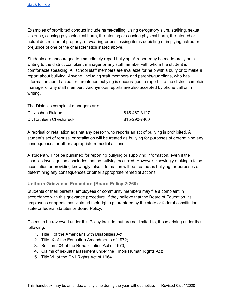Examples of prohibited conduct include name-calling, using derogatory slurs, stalking, sexual violence, causing psychological harm, threatening or causing physical harm, threatened or actual destruction of property, or wearing or possessing items depicting or implying hatred or prejudice of one of the characteristics stated above.

Students are encouraged to immediately report bullying. A report may be made orally or in writing to the district complaint manager or any staff member with whom the student is comfortable speaking. All school staff members are available for help with a bully or to make a report about bullying. Anyone, including staff members and parents/guardians, who has information about actual or threatened bullying is encouraged to report it to the district complaint manager or any staff member. Anonymous reports are also accepted by phone call or in writing.

The District's complaint managers are:

| Dr. Joshua Ruland       | 815-467-3127 |
|-------------------------|--------------|
| Dr. Kathleen Cheshareck | 815-290-7400 |

A reprisal or retaliation against any person who reports an act of bullying is prohibited. A student's act of reprisal or retaliation will be treated as bullying for purposes of determining any consequences or other appropriate remedial actions.

A student will not be punished for reporting bullying or supplying information, even if the school's investigation concludes that no bullying occurred. However, knowingly making a false accusation or providing knowingly false information will be treated as bullying for purposes of determining any consequences or other appropriate remedial actions.

## **Uniform Grievance Procedure (Board Policy 2:260)**

Students or their parents, employees or community members may file a complaint in accordance with this grievance procedure, if they believe that the Board of Education, its employees or agents has violated their rights guaranteed by the state or federal constitution, state or federal statutes or Board Policy.

Claims to be reviewed under this Policy include, but are not limited to, those arising under the following:

- 1. Title II of the Americans with Disabilities Act;
- 2. Title IX of the Education Amendments of 1972;
- 3. Section 504 of the Rehabilitation Act of 1973;
- 4. Claims of sexual harassment under the Illinois Human Rights Act;
- 5. Title VII of the Civil Rights Act of 1964.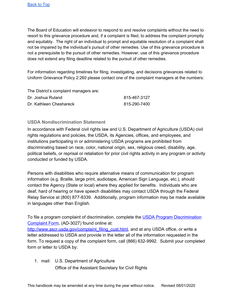The Board of Education will endeavor to respond to and resolve complaints without the need to resort to this grievance procedure and, if a complaint is filed, to address the complaint promptly and equitably. The right of an individual to prompt and equitable resolution of a complaint shall not be impaired by the individual's pursuit of other remedies. Use of this grievance procedure is not a prerequisite to the pursuit of other remedies. However, use of this grievance procedure does not extend any filing deadline related to the pursuit of other remedies.

For information regarding timelines for filing, investigating, and decisions grievances related to Uniform Grievance Policy 2:260 please contact one of the complaint managers at the numbers:

The District's complaint managers are:

| Dr. Joshua Ruland       | 815-467-3127 |
|-------------------------|--------------|
| Dr. Kathleen Cheshareck | 815-290-7400 |

# **USDA Nondiscrimination Statement**

In accordance with Federal civil rights law and U.S. Department of Agriculture (USDA) civil rights regulations and policies, the USDA, its Agencies, offices, and employees, and institutions participating in or administering USDA programs are prohibited from discriminating based on race, color, national origin, sex, religious creed, disability, age, political beliefs, or reprisal or retaliation for prior civil rights activity in any program or activity conducted or funded by USDA.

Persons with disabilities who require alternative means of communication for program information (e.g. Braille, large print, audiotape, American Sign Language, etc.), should contact the Agency (State or local) where they applied for benefits. Individuals who are deaf, hard of hearing or have speech disabilities may contact USDA through the Federal Relay Service at (800) 877-8339. Additionally, program information may be made available in languages other than English.

To file a program complaint of discrimination, complete the [U](http://www.ocio.usda.gov/sites/default/files/docs/2012/Complain_combined_6_8_12.pdf)SDA Program [Discrimination](http://www.ocio.usda.gov/sites/default/files/docs/2012/Complain_combined_6_8_12.pdf) [Complaint](http://www.ocio.usda.gov/sites/default/files/docs/2012/Complain_combined_6_8_12.pdf) Form, (AD-3027) found online at:

[http://www.ascr.usda.gov/complaint\\_filing\\_cust.html](http://www.ascr.usda.gov/complaint_filing_cust.html), and at any USDA office, or write a letter addressed to USDA and provide in the letter all of the information requested in the form. To request a copy of the complaint form, call (866) 632-9992. Submit your completed form or letter to USDA by:

1. mail: U.S. Department of Agriculture Office of the Assistant Secretary for Civil Rights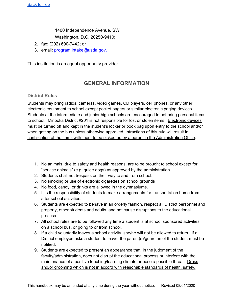1400 Independence Avenue, SW

Washington, D.C. 20250-9410;

- 2. fax: (202) 690-7442; or
- 3. email: program.intake@usda.gov.

This institution is an equal opportunity provider.

# **GENERAL INFORMATION**

# **District Rules**

Students may bring radios, cameras, video games, CD players, cell phones, or any other electronic equipment to school except pocket pagers or similar electronic paging devices. Students at the intermediate and junior high schools are encouraged to not bring personal items to school. Minooka District #201 is not responsible for lost or stolen items. Electronic devices must be turned off and kept in the student's locker or book bag upon entry to the school and/or when getting on the bus unless otherwise approved. Infractions of this rule will result in confiscation of the items with them to be picked up by a parent in the Administration Office.

- 1. No animals, due to safety and health reasons, are to be brought to school except for "service animals" (e.g. guide dogs) as approved by the administration.
- 2. Students shall not trespass on their way to and from school.
- 3. No smoking or use of electronic cigarettes on school grounds
- 4. No food, candy, or drinks are allowed in the gymnasiums.
- 5. It is the responsibility of students to make arrangements for transportation home from after school activities.
- 6. Students are expected to behave in an orderly fashion, respect all District personnel and property, other students and adults, and not cause disruptions to the educational process.
- 7. All school rules are to be followed any time a student is at school sponsored activities, on a school bus, or going to or from school.
- 8. If a child voluntarily leaves a school activity, she/he will not be allowed to return. If a District employee asks a student to leave, the parent(s)/guardian of the student must be notified.
- 9. Students are expected to present an appearance that, in the judgment of the faculty/administration, does not disrupt the educational process or interfere with the maintenance of a positive teaching/learning climate or pose a possible threat. Dress and/or grooming which is not in accord with reasonable standards of health, safety,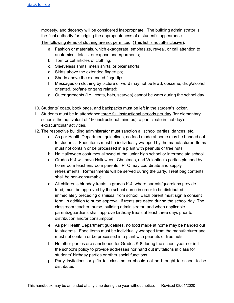modesty, and decency will be considered inappropriate. The building administrator is the final authority for judging the appropriateness of a student's appearance.

The following items of clothing are not permitted: (This list is not all-inclusive).

- a. Fashion or materials, which exaggerate, emphasize, reveal, or call attention to anatomical details, or expose undergarments;
- b. Torn or cut articles of clothing;
- c. Sleeveless shirts, mesh shirts, or biker shorts;
- d. Skirts above the extended fingertips;
- e. Shorts above the extended fingertips;
- f. Messages on clothing by picture or word may not be lewd, obscene, drug/alcohol oriented, profane or gang related;
- g. Outer garments (i.e., coats, hats, scarves) cannot be worn during the school day.
- 10. Students' coats, book bags, and backpacks must be left in the student's locker.
- 11. Students must be in attendance three full instructional periods per day (for elementary schools the equivalent of 150 instructional minutes) to participate in that day's extracurricular activities.
- 12. The respective building administrator must sanction all school parties, dances, etc.
	- a. As per Health Department guidelines, no food made at home may be handed out to students. Food items must be individually wrapped by the manufacturer. Items must not contain or be processed in a plant with peanuts or tree nuts.
	- b. No Halloween costumes allowed at the junior high school or intermediate school.
	- c. Grades K-4 will have Halloween, Christmas, and Valentine's parties planned by homeroom teachers/room parents. PTO may coordinate and supply refreshments. Refreshments will be served during the party. Treat bag contents shall be non-consumable.
	- d. All children's birthday treats in grades K-4, where parents/guardians provide food, must be approved by the school nurse in order to be distributed immediately preceding dismissal from school. Each parent must sign a consent form, in addition to nurse approval, if treats are eaten during the school day. The classroom teacher, nurse, building administrator, and when applicable parents/guardians shall approve birthday treats at least three days prior to distribution and/or consumption.
	- e. As per Health Department guidelines, no food made at home may be handed out to students. Food items must be individually wrapped from the manufacturer and must not contain or be processed in a plant with peanuts or tree nuts.
	- f. No other parties are sanctioned for Grades K-8 during the school year nor is it the school's policy to provide addresses nor hand out invitations in class for students' birthday parties or other social functions.
	- g. Party invitations or gifts for classmates should not be brought to school to be distributed.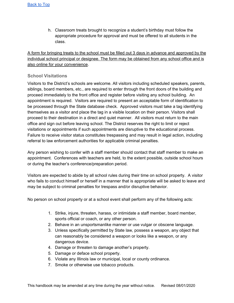h. Classroom treats brought to recognize a student's birthday must follow the appropriate procedure for approval and must be offered to all students in the class.

A form for bringing treats to the school must be filled out 3 days in advance and approved by the individual school principal or designee. The form may be obtained from any school office and is also online for your convenience.

### **School Visitations**

Visitors to the District's schools are welcome. All visitors including scheduled speakers, parents, siblings, board members, etc., are required to enter through the front doors of the building and proceed immediately to the front office and register before visiting any school building. An appointment is required. Visitors are required to present an acceptable form of identification to be processed through the State database check. Approved visitors must take a tag identifying themselves as a visitor and place the tag in a visible location on their person. Visitors shall proceed to their destination in a direct and quiet manner. All visitors must return to the main office and sign out before leaving school. The District reserves the right to limit or reject visitations or appointments if such appointments are disruptive to the educational process. Failure to receive visitor status constitutes trespassing and may result in legal action, including referral to law enforcement authorities for applicable criminal penalties.

Any person wishing to confer with a staff member should contact that staff member to make an appointment. Conferences with teachers are held, to the extent possible, outside school hours or during the teacher's conference/preparation period.

Visitors are expected to abide by all school rules during their time on school property. A visitor who fails to conduct himself or herself in a manner that is appropriate will be asked to leave and may be subject to criminal penalties for trespass and/or disruptive behavior.

No person on school property or at a school event shall perform any of the following acts:

- 1. Strike, injure, threaten, harass, or intimidate a staff member, board member, sports official or coach, or any other person.
- 2. Behave in an unsportsmanlike manner or use vulgar or obscene language.
- 3. Unless specifically permitted by State law, possess a weapon, any object that can reasonably be considered a weapon or looks like a weapon, or any dangerous device.
- 4. Damage or threaten to damage another's property.
- 5. Damage or deface school property.
- 6. Violate any Illinois law or municipal, local or county ordinance.
- 7. Smoke or otherwise use tobacco products.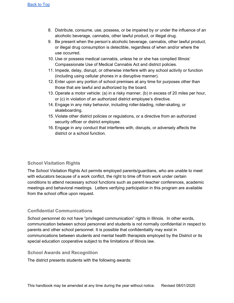- 8. Distribute, consume, use, possess, or be impaired by or under the influence of an alcoholic beverage, cannabis, other lawful product, or illegal drug.
- 9. Be present when the person's alcoholic beverage, cannabis, other lawful product, or illegal drug consumption is detectible, regardless of when and/or where the use occurred.
- 10. Use or possess medical cannabis, unless he or she has complied Illinois' Compassionate Use of Medical Cannabis Act and district policies.
- 11. Impede, delay, disrupt, or otherwise interfere with any school activity or function (including using cellular phones in a disruptive manner).
- 12. Enter upon any portion of school premises at any time for purposes other than those that are lawful and authorized by the board.
- 13. Operate a motor vehicle: (a) in a risky manner, (b) in excess of 20 miles per hour, or (c) in violation of an authorized district employee's directive.
- 14. Engage in any risky behavior, including roller-blading, roller-skating, or skateboarding.
- 15. Violate other district policies or regulations, or a directive from an authorized security officer or district employee.
- 16. Engage in any conduct that interferes with, disrupts, or adversely affects the district or a school function.

# **School Visitation Rights**

The School Visitation Rights Act permits employed parents/guardians, who are unable to meet with educators because of a work conflict, the right to time off from work under certain conditions to attend necessary school functions such as parent-teacher conferences, academic meetings and behavioral meetings. Letters verifying participation in this program are available from the school office upon request.

# **Confidential Communications**

School personnel do not have "privileged communication" rights in Illinois. In other words, communication between school personnel and students is not normally confidential in respect to parents and other school personnel. It is possible that confidentiality may exist in communications between students and mental health therapists employed by the District or its special education cooperative subject to the limitations of Illinois law.

## **School Awards and Recognition**

The district presents students with the following awards: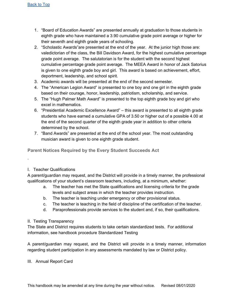- 1. "Board of Education Awards" are presented annually at graduation to those students in eighth grade who have maintained a 3.90 cumulative grade point average or higher for their seventh and eighth grade years of schooling.
- 2. "Scholastic Awards"are presented at the end of the year. At the junior high those are: valedictorian of the class, the Bill Davidson Award, for the highest cumulative percentage grade point average. The salutatorian is for the student with the second highest cumulative percentage grade point average. The MEEA Award in honor of Jack Satorius is given to one eighth grade boy and girl. This award is based on achievement, effort, deportment, leadership, and school spirit.
- 3. Academic awards will be presented at the end of the second semester.
- 4. The "American Legion Award" is presented to one boy and one girl in the eighth grade based on their courage, honor, leadership, patriotism, scholarship, and service.
- 5. The "Hugh Palmer Math Award" is presented to the top eighth grade boy and girl who excel in mathematics.
- 6. "Presidential Academic Excellence Award" this award is presented to all eighth grade students who have earned a cumulative GPA of 3.50 or higher out of a possible 4.00 at the end of the second quarter of the eighth grade year in addition to other criteria determined by the school.
- 7. "Band Awards" are presented at the end of the school year. The most outstanding musician award is given to one eighth grade student.

**Parent Notices Required by the Every Student Succeeds Act**

I. Teacher Qualifications

.

A parent/guardian may request, and the District will provide in a timely manner, the professional qualifications of your student's classroom teachers, including, at a minimum, whether:

- a. The teacher has met the State qualifications and licensing criteria for the grade levels and subject areas in which the teacher provides instruction.
- b. The teacher is teaching under emergency or other provisional status.
- c. The teacher is teaching in the field of discipline of the certification of the teacher.
- d. Paraprofessionals provide services to the student and, if so, their qualifications.
- II. Testing Transparency

The State and District requires students to take certain standardized tests. For additional information, see handbook procedure Standardized Testing

A parent/guardian may request, and the District will provide in a timely manner, information regarding student participation in any assessments mandated by law or District policy.

III. Annual Report Card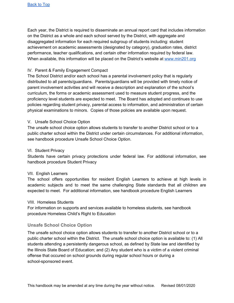Each year, the District is required to disseminate an annual report card that includes information on the District as a whole and each school served by the District, with aggregate and disaggregated information for each required subgroup of students including: student achievement on academic assessments (designated by category), graduation rates, district performance, teacher qualifications, and certain other information required by federal law. When available, this information will be placed on the District's website at [www.min201.org](http://www.min201.org/)

### IV. Parent & Family Engagement Compact

The School District and/or each school has a parental involvement policy that is regularly distributed to all parents/guardians. Parents/guardians will be provided with timely notice of parent involvement activities and will receive a description and explanation of the school's curriculum, the forms or academic assessment used to measure student progress, and the proficiency level students are expected to meet. The Board has adopted and continues to use policies regarding student privacy, parental access to information, and administration of certain physical examinations to minors. Copies of those policies are available upon request.

### V. Unsafe School Choice Option

The unsafe school choice option allows students to transfer to another District school or to a public charter school within the District under certain circumstances. For additional information, see handbook procedure Unsafe School Choice Option.

### VI. Student Privacy

Students have certain privacy protections under federal law. For additional information, see handbook procedure Student Privacy

### VII. English Learners

The school offers opportunities for resident English Learners to achieve at high levels in academic subjects and to meet the same challenging State standards that all children are expected to meet. For additional information, see handbook procedure English Learners

#### VIII. Homeless Students

For information on supports and services available to homeless students, see handbook procedure Homeless Child's Right to Education

### **Unsafe School Choice Option**

The unsafe school choice option allows students to transfer to another District school or to a public charter school within the District. The unsafe school choice option is available to: (1) All students attending a persistently dangerous school, as defined by State law and identified by the Illinois State Board of Education; and (2) Any student who is a victim of a violent criminal offense that occured on school grounds during regular school hours or during a school-sponsored event.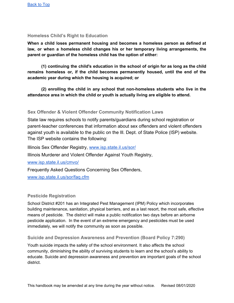## **Homeless Child's Right to Education**

**When a child loses permanent housing and becomes a homeless person as defined at law, or when a homeless child changes his or her temporary living arrangements, the parent or guardian of the homeless child has the option of either:**

**(1) continuing the child's education in the school of origin for as long as the child remains homeless or, if the child becomes permanently housed, until the end of the academic year during which the housing is acquired; or**

**(2) enrolling the child in any school that non-homeless students who live in the attendance area in which the child or youth is actually living are eligible to attend.**

### **Sex Offender & Violent Offender Community Notification Laws**

State law requires schools to notify parents/guardians during school registration or parent-teacher conferences that information about sex offenders and violent offenders against youth is available to the public on the Ill. Dept. of State Police (ISP) website. The ISP website contains the following:

Illinois Sex Offender Registry, [www.isp.state.il.us/sor/](http://www.isp.state.il.us/sor/)

Illinois Murderer and Violent Offender Against Youth Registry,

[www.isp.state.il.us/cmvo/](http://www.isp.state.il.us/cmvo/)

Frequently Asked Questions Concerning Sex Offenders,

[www.isp.state.il.us/sor/faq.cfm](http://www.isp.state.il.us/sor/faq.cfm)

### **Pesticide Registration**

School District #201 has an Integrated Pest Management (IPM) Policy which incorporates building maintenance, sanitation, physical barriers, and as a last resort, the most safe, effective means of pesticide. The district will make a public notification two days before an airborne pesticide application. In the event of an extreme emergency and pesticides must be used immediately, we will notify the community as soon as possible.

### **Suicide and Depression Awareness and Prevention (Board Policy 7:290)**

Youth suicide impacts the safety of the school environment. It also affects the school community, diminishing the ability of surviving students to learn and the school's ability to educate. Suicide and depression awareness and prevention are important goals of the school district.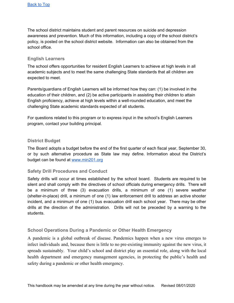The school district maintains student and parent resources on suicide and depression awareness and prevention. Much of this information, including a copy of the school district's policy, is posted on the school district website. Information can also be obtained from the school office.

### **English Learners**

The school offers opportunities for resident English Learners to achieve at high levels in all academic subjects and to meet the same challenging State standards that all children are expected to meet.

Parents/guardians of English Learners will be informed how they can: (1) be involved in the education of their children, and (2) be active participants in assisting their children to attain English proficiency, achieve at high levels within a well-rounded education, and meet the challenging State academic standards expected of all students.

For questions related to this program or to express input in the school's English Learners program, contact your building principal.

### **District Budget**

The Board adopts a budget before the end of the first quarter of each fiscal year, September 30, or by such alternative procedure as State law may define. Information about the District's budget can be found at [www.min201.org](http://www.min201.org/)

## **Safety Drill Procedures and Conduct**

Safety drills will occur at times established by the school board. Students are required to be silent and shall comply with the directives of school officials during emergency drills. There will be a minimum of three (3) evacuation drills, a minimum of one (1) severe weather (shelter-in-place) drill, a minimum of one (1) law enforcement drill to address an active shooter incident, and a minimum of one (1) bus evacuation drill each school year. There may be other drills at the direction of the administration. Drills will not be preceded by a warning to the students.

## **School Operations During a Pandemic or Other Health Emergency**

A pandemic is a global outbreak of disease. Pandemics happen when a new virus emerges to infect individuals and, because there is little to no pre-existing immunity against the new virus, it spreads sustainably. Your child's school and district play an essential role, along with the local health department and emergency management agencies, in protecting the public's health and safety during a pandemic or other health emergency.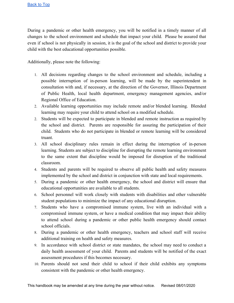During a pandemic or other health emergency, you will be notified in a timely manner of all changes to the school environment and schedule that impact your child. Please be assured that even if school is not physically in session, it is the goal of the school and district to provide your child with the best educational opportunities possible.

Additionally, please note the following:

- 1. All decisions regarding changes to the school environment and schedule, including a possible interruption of in-person learning, will be made by the superintendent in consultation with and, if necessary, at the direction of the Governor, Illinois Department of Public Health, local health department, emergency management agencies, and/or Regional Office of Education.
- 2. Available learning opportunities may include remote and/or blended learning. Blended learning may require your child to attend school on a modified schedule.
- 2. Students will be expected to participate in blended and remote instruction as required by the school and district. Parents are responsible for assuring the participation of their child. Students who do not participate in blended or remote learning will be considered truant.
- 3. All school disciplinary rules remain in effect during the interruption of in-person learning. Students are subject to discipline for disrupting the remote learning environment to the same extent that discipline would be imposed for disruption of the traditional classroom.
- 4. Students and parents will be required to observe all public health and safety measures implemented by the school and district in conjunction with state and local requirements.
- 5. During a pandemic or other health emergency, the school and district will ensure that educational opportunities are available to all students.
- 6. School personnel will work closely with students with disabilities and other vulnerable student populations to minimize the impact of any educational disruption.
- 7. Students who have a compromised immune system, live with an individual with a compromised immune system, or have a medical condition that may impact their ability to attend school during a pandemic or other public health emergency should contact school officials.
- 8. During a pandemic or other health emergency, teachers and school staff will receive additional training on health and safety measures.
- 9. In accordance with school district or state mandates, the school may need to conduct a daily health assessment of your child. Parents and students will be notified of the exact assessment procedures if this becomes necessary.
- 10. Parents should not send their child to school if their child exhibits any symptoms consistent with the pandemic or other health emergency.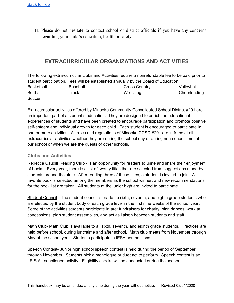11. Please do not hesitate to contact school or district officials if you have any concerns regarding your child's education, health or safety.

# **EXTRACURRICULAR ORGANIZATIONS AND ACTIVITIES**

The following extra-curricular clubs and Activities require a nonrefundable fee to be paid prior to student participation. Fees will be established annually by the Board of Education. Basketball **Baseball** Baseball **Cross Country COUNTING Volleyball** Softball Track Track Wrestling Cheerleading **Soccer** 

Extracurricular activities offered by Minooka Community Consolidated School District #201 are an important part of a student's education. They are designed to enrich the educational experiences of students and have been created to encourage participation and promote positive self-esteem and individual growth for each child. Each student is encouraged to participate in one or more activities. All rules and regulations of Minooka CCSD #201 are in force at all extracurricular activities whether they are during the school day or during non-school time, at our school or when we are the guests of other schools.

## **Clubs and Activities**

Rebecca Caudill Reading Club - is an opportunity for readers to unite and share their enjoyment of books. Every year, there is a list of twenty titles that are selected from suggestions made by students around the state. After reading three of these titles, a student is invited to join. A favorite book is selected among the members as the school winner, and new recommendations for the book list are taken. All students at the junior high are invited to participate.

Student Council - The student council is made up sixth, seventh, and eighth grade students who are elected by the student body of each grade level in the first nine weeks of the school year. Some of the activities students participate in are: fundraisers for charity, plan dances, work at concessions, plan student assemblies, and act as liaison between students and staff.

Math Club- Math Club is available to all sixth, seventh, and eighth grade students. Practices are held before school, during lunchtime and after school. Math club meets from November through May of the school year. Students participate in IESA competitions.

Speech Contest- Junior high school speech contest is held during the period of September through November. Students pick a monologue or duet act to perform. Speech contest is an I.E.S.A. sanctioned activity. Eligibility checks will be conducted during the season.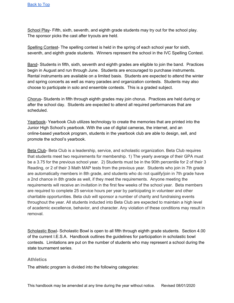School Play- Fifth, sixth, seventh, and eighth grade students may try out for the school play. The sponsor picks the cast after tryouts are held.

Spelling Contest- The spelling contest is held in the spring of each school year for sixth, seventh, and eighth grade students. Winners represent the school in the IVC Spelling Contest.

Band- Students in fifth, sixth, seventh and eighth grades are eligible to join the band. Practices begin in August and run through June. Students are encouraged to purchase instruments. Rental instruments are available on a limited basis. Students are expected to attend the winter and spring concerts as well as many parades and organization contests. Students may also choose to participate in solo and ensemble contests. This is a graded subject.

Chorus- Students in fifth through eighth grades may join chorus. Practices are held during or after the school day. Students are expected to attend all required performances that are scheduled.

Yearbook- Yearbook Club utilizes technology to create the memories that are printed into the Junior High School's yearbook. With the use of digital cameras, the internet, and an online-based yearbook program, students in the yearbook club are able to design, sell, and promote the school's yearbook.

Beta Club- Beta Club is a leadership, service, and scholastic organization. Beta Club requires that students meet two requirements for membership. 1) The yearly average of their GPA must be a 3.75 for the previous school year. 2) Students must be in the 90th percentile for 2 of their 3 Reading, or 2 of their 3 Math MAP tests from the previous year. Students who join in 7th grade are automatically members in 8th grade, and students who do not qualify/join in 7th grade have a 2nd chance in 8th grade as well, if they meet the requirements. Anyone meeting the requirements will receive an invitation in the first few weeks of the school year. Beta members are required to complete 25 service hours per year by participating in volunteer and other charitable opportunities. Beta club will sponsor a number of charity and fundraising events throughout the year. All students inducted into Beta Club are expected to maintain a high level of academic excellence, behavior, and character. Any violation of these conditions may result in removal.

Scholastic Bowl- Scholastic Bowl is open to all fifth through eighth grade students. Section 4.00 of the current I.E.S.A. Handbook outlines the guidelines for participation in scholastic bowl contests. Limitations are put on the number of students who may represent a school during the state tournament series.

### **Athletics**

The athletic program is divided into the following categories: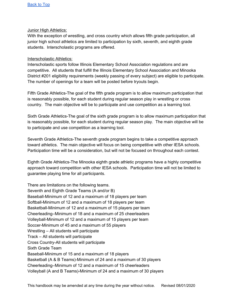### Junior High Athletics:

With the exception of wrestling, and cross country which allows fifth grade participation, all junior high school athletics are limited to participation by sixth, seventh, and eighth grade students. Interscholastic programs are offered.

### Interscholastic Athletics:

Interscholastic sports follow Illinois Elementary School Association regulations and are competitive. All students that fulfill the Illinois Elementary School Association and Minooka District #201 eligibility requirements (weekly passing of every subject) are eligible to participate. The number of openings for a team will be posted before tryouts begin.

Fifth Grade Athletics-The goal of the fifth grade program is to allow maximum participation that is reasonably possible, for each student during regular season play in wrestling or cross country. The main objective will be to participate and use competition as a learning tool.

Sixth Grade Athletics-The goal of the sixth grade program is to allow maximum participation that is reasonably possible, for each student during regular season play. The main objective will be to participate and use competition as a learning tool.

Seventh Grade Athletics-The seventh grade program begins to take a competitive approach toward athletics. The main objective will focus on being competitive with other IESA schools. Participation time will be a consideration, but will not be focused on throughout each contest.

Eighth Grade Athletics-The Minooka eighth grade athletic programs have a highly competitive approach toward competition with other IESA schools. Participation time will not be limited to guarantee playing time for all participants.

There are limitations on the following teams. Seventh and Eighth Grade Teams (A and/or B) Baseball-Minimum of 12 and a maximum of 18 players per team Softball-Minimum of 12 and a maximum of 18 players per team Basketball-Minimum of 12 and a maximum of 15 players per team Cheerleading–Minimum of 18 and a maximum of 25 cheerleaders Volleyball-Minimum of 12 and a maximum of 15 players per team Soccer-Minimum of 45 and a maximum of 55 players Wrestling – All students will participate Track – All students will participate Cross Country-All students will participate Sixth Grade Team Baseball-Minimum of 15 and a maximum of 18 players Basketball (A & B Teams)-Minimum of 24 and a maximum of 30 players Cheerleading–Minimum of 12 and a maximum of 15 cheerleaders Volleyball (A and B Teams)-Minimum of 24 and a maximum of 30 players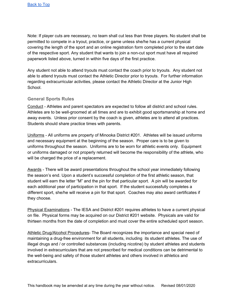Note: If player cuts are necessary, no team shall cut less than three players. No student shall be permitted to compete in a tryout, practice, or game unless she/he has a current physical covering the length of the sport and an online registration form completed prior to the start date of the respective sport. Any student that wants to join a non-cut sport must have all required paperwork listed above, turned in within five days of the first practice.

Any student not able to attend tryouts must contact the coach prior to tryouts. Any student not able to attend tryouts must contact the Athletic Director prior to tryouts. For further information regarding extracurricular activities, please contact the Athletic Director at the Junior High School.

## **General Sports Rules**

Conduct - Athletes and parent spectators are expected to follow all district and school rules. Athletes are to be well-groomed at all times and are to exhibit good sportsmanship at home and away events. Unless prior consent by the coach is given, athletes are to attend all practices. Students should share practice times with parents.

Uniforms - All uniforms are property of Minooka District #201. Athletes will be issued uniforms and necessary equipment at the beginning of the season. Proper care is to be given to uniforms throughout the season. Uniforms are to be worn for athletic events only. Equipment or uniforms damaged or not properly returned will become the responsibility of the athlete, who will be charged the price of a replacement.

Awards - There will be award presentations throughout the school year immediately following the season's end. Upon a student's successful completion of the first athletic season, that student will earn the letter "M" and the pin for that particular sport. A pin will be awarded for each additional year of participation in that sport. If the student successfully completes a different sport, she/he will receive a pin for that sport. Coaches may also award certificates if they choose.

Physical Examinations - The IESA and District #201 requires athletes to have a current physical on file. Physical forms may be acquired on our District #201 website. Physicals are valid for thirteen months from the date of completion and must cover the entire scheduled sport season.

Athletic Drug/Alcohol Procedures- The Board recognizes the importance and special need of maintaining a drug-free environment for all students, including its student athletes. The use of illegal drugs and / or controlled substances (including nicotine) by student athletes and students involved in extracurriculars that are not prescribed for medical conditions can be detrimental to the well-being and safety of those student athletes and others involved in athletics and extracurriculars.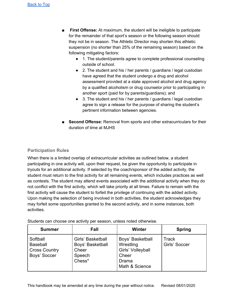- **First Offense:** At maximum, the student will be ineligible to participate for the remainder of that sport's season or the following season should they not be in season. The Athletic Director may shorten this athletic suspension (no shorter than 25% of the remaining season) based on the following mitigating factors:
	- 1. The student/parents agree to complete professional counseling outside of school.
	- 2. The student and his / her parents / guardians / legal custodian have agreed that the student undergo a drug and alcohol assessment provided at a state approved alcohol and drug agency by a qualified alcoholism or drug counselor prior to participating in another sport (paid for by parents/guardians); and
	- 3. The student and his / her parents / guardians / legal custodian agree to sign a release for the purpose of sharing the student's pertinent information between agencies.
- **Second Offense:** Removal from sports and other extracurriculars for their duration of time at MJHS

### **Participation Rules**

When there is a limited overlap of extracurricular activities as outlined below, a student participating in one activity will, upon their request, be given the opportunity to participate in tryouts for an additional activity. If selected by the coach/sponsor of the added activity, the student must return to the first activity for all remaining events, which includes practices as well as contests. The student may attend events associated with the additional activity when they do not conflict with the first activity, which will take priority at all times. Failure to remain with the first activity will cause the student to forfeit the privilege of continuing with the added activity. Upon making the selection of being involved in both activities, the student acknowledges they may forfeit some opportunities granted to the second activity, and in some instances, both activities.

| <b>Summer</b>                                                       | Fall                                                               | <b>Winter</b>                                                                          | <b>Spring</b>                 |
|---------------------------------------------------------------------|--------------------------------------------------------------------|----------------------------------------------------------------------------------------|-------------------------------|
| Softball<br><b>Baseball</b><br><b>Cross Country</b><br>Boys' Soccer | Girls' Basketball<br>Boys' Basketball<br>Cheer<br>Speech<br>Chess* | Boys' Basketball<br>Wrestling<br>Girls' Volleyball<br>Cheer<br>Drama<br>Math & Science | <b>Track</b><br>Girls' Soccer |

Students can choose one activity per season, unless noted otherwise.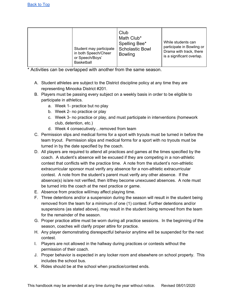\* Activities can be overlapped with another from the same season.

- A. Student athletes are subject to the District discipline policy at any time they are representing Minooka District #201.
- B. Players must be passing every subject on a weekly basis in order to be eligible to participate in athletics.
	- a. Week 1- practice but no play
	- b. Week 2- no practice or play
	- c. Week 3- no practice or play, and must participate in interventions (homework club, detention, etc.)
	- d. Week 4 consecutively…removed from team
- C. Permission slips and medical forms for a sport with tryouts must be turned in before the team tryout. Permission slips and medical forms for a sport with no tryouts must be turned in by the date specified by the coach.
- D. All players are required to attend all practices and games at the times specified by the coach. A student's absence will be excused if they are competing in a non-athletic contest that conflicts with the practice time. A note from the student's non-athletic extracurricular sponsor must verify any absence for a non-athletic extracurricular contest. A note from the student's parent must verify any other absence. If the absence(s) is/are not verified, then it/they become unexcused absences. A note must be turned into the coach at the next practice or game.
- E. Absence from practice will/may affect playing time.
- F. Three detentions and/or a suspension during the season will result in the student being removed from the team for a minimum of one (1) contest. Further detentions and/or suspensions (as stated above), may result in the student being removed from the team for the remainder of the season.
- G. Proper practice attire must be worn during all practice sessions. In the beginning of the season, coaches will clarify proper attire for practice.
- H. Any player demonstrating disrespectful behavior anytime will be suspended for the next contest.
- I. Players are not allowed in the hallway during practices or contests without the permission of their coach.
- J. Proper behavior is expected in any locker room and elsewhere on school property. This includes the school bus.
- K. Rides should be at the school when practice/contest ends.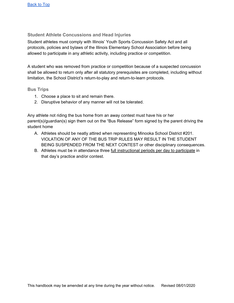## **Student Athlete Concussions and Head Injuries**

Student athletes must comply with Illinois' Youth Sports Concussion Safety Act and all protocols, policies and bylaws of the Illinois Elementary School Association before being allowed to participate in any athletic activity, including practice or competition.

A student who was removed from practice or competition because of a suspected concussion shall be allowed to return only after all statutory prerequisites are completed, including without limitation, the School District's return-to-play and return-to-learn protocols.

### **Bus Trips**

- 1. Choose a place to sit and remain there.
- 2. Disruptive behavior of any manner will not be tolerated.

Any athlete not riding the bus home from an away contest must have his or her parent(s)/guardian(s) sign them out on the "Bus Release" form signed by the parent driving the student home

- A. Athletes should be neatly attired when representing Minooka School District #201. VIOLATION OF ANY OF THE BUS TRIP RULES MAY RESULT IN THE STUDENT BEING SUSPENDED FROM THE NEXT CONTEST or other disciplinary consequences.
- B. Athletes must be in attendance three full instructional periods per day to participate in that day's practice and/or contest.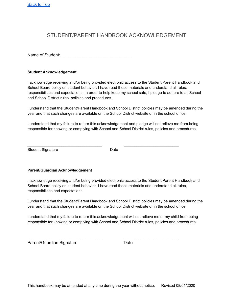# STUDENT/PARENT HANDBOOK ACKNOWLEDGEMENT

Name of Student:

#### **Student Acknowledgement**

I acknowledge receiving and/or being provided electronic access to the Student/Parent Handbook and School Board policy on student behavior. I have read these materials and understand all rules, responsibilities and expectations. In order to help keep my school safe, I pledge to adhere to all School and School District rules, policies and procedures.

I understand that the Student/Parent Handbook and School District policies may be amended during the year and that such changes are available on the School District website or in the school office.

I understand that my failure to return this acknowledgement and pledge will not relieve me from being responsible for knowing or complying with School and School District rules, policies and procedures.

Student Signature Date Date

\_\_\_\_\_\_\_\_\_\_\_\_\_\_\_\_\_\_\_\_\_\_\_\_\_\_\_\_\_\_\_\_\_\_\_ \_\_\_\_\_\_\_\_\_\_\_\_\_\_\_\_\_\_\_\_\_\_\_\_\_\_

#### **Parent/Guardian Acknowledgement**

I acknowledge receiving and/or being provided electronic access to the Student/Parent Handbook and School Board policy on student behavior. I have read these materials and understand all rules, responsibilities and expectations.

I understand that the Student/Parent Handbook and School District policies may be amended during the year and that such changes are available on the School District website or in the school office.

I understand that my failure to return this acknowledgement will not relieve me or my child from being responsible for knowing or complying with School and School District rules, policies and procedures.

\_\_\_\_\_\_\_\_\_\_\_\_\_\_\_\_\_\_\_\_\_\_\_\_\_\_\_\_\_\_\_\_\_\_\_ \_\_\_\_\_\_\_\_\_\_\_\_\_\_\_\_\_\_\_\_\_\_\_\_\_\_

Parent/Guardian Signature Date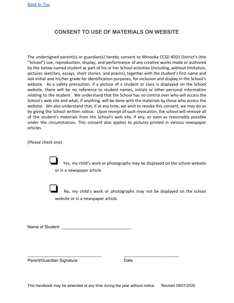# **CONSENT TO USE OF MATERIALS ON WEBSITE**

The undersigned parent(s) or guardian(s) hereby consent to Minooka CCSD #201 District's (the "School") use, reproduction, display, and performance of any creative works made or authored by the below named student as part of his or her School activities (including, without limitation, pictures sketches, essays, short stories, and poems), together with the student's first name and last initial and his/her grade for identification purposes, for inclusion and display in the School's website. As a safety precaution, if a picture of a student or class is displayed on the School website, there will be no reference to student names, initials or other personal information relating to the student. We understand that the School has no control over who will access the School's web site and what, if anything, will be done with the materials by those who access the website. We also understand that, if at any time, we wish to revoke this consent, we may do so by giving the School written notice. Upon receipt of such revocation, the school will remove all of the student's materials from the School's web site, if any, as soon as reasonably possible under the circumstances. This consent also applies to pictures printed in various newspaper articles.

(Please check one)

Yes, my child's work or photographs may be displayed on the school website or in a newspaper article.

No, my child's work or photographs may not be displayed on the school website or in a newspaper article.

Name of Student: \_\_\_\_\_\_\_\_\_\_\_\_\_\_\_\_\_\_\_\_\_\_\_\_\_\_\_\_\_\_

Parent/Guardian Signature Date

\_\_\_\_\_\_\_\_\_\_\_\_\_\_\_\_\_\_\_\_\_\_\_\_\_\_\_\_\_\_\_\_\_\_\_ \_\_\_\_\_\_\_\_\_\_\_\_\_\_\_\_\_\_\_\_\_\_\_\_\_\_